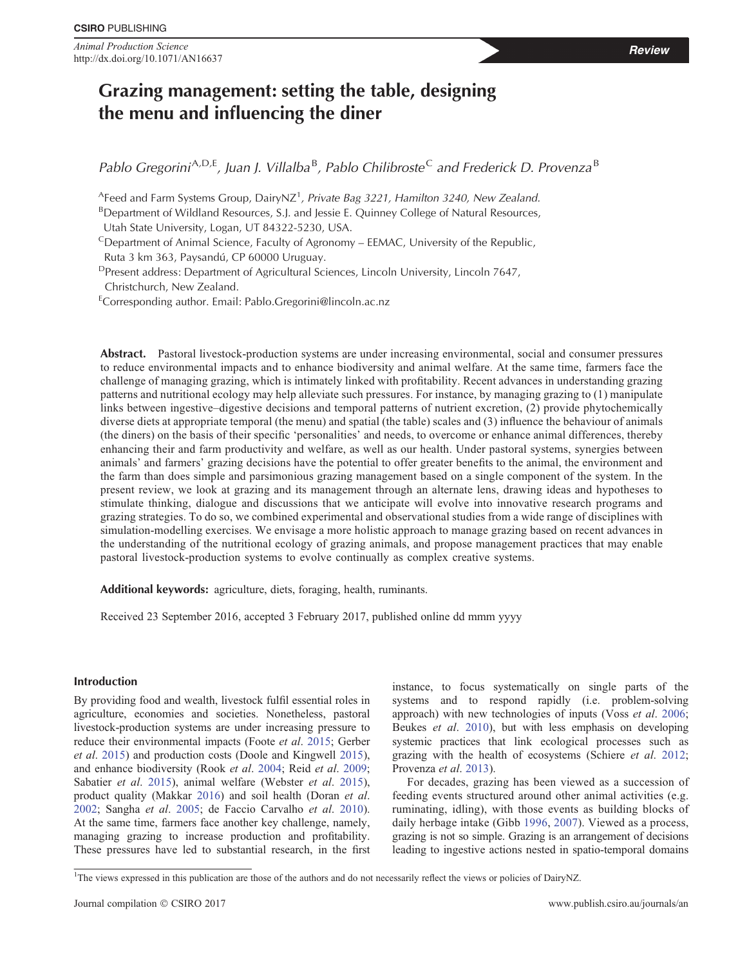Animal Production Science **Review**<br> **Animal Production Science** Review http://dx.doi.org/10.1071/AN16637

# Grazing management: setting the table, designing the menu and influencing the diner

Pablo Gregorini<sup>A,D,E</sup>, Juan J. Villalba<sup>B</sup>, Pablo Chilibroste<sup>C</sup> and Frederick D. Provenza<sup>B</sup>

 $^{\mathsf{A}}$ Feed and Farm Systems Group, DairyNZ<sup>1</sup>, Private Bag 3221, Hamilton 3240, New Zealand.

<sup>B</sup>Department of Wildland Resources, S.J. and Jessie E. Quinney College of Natural Resources,

Utah State University, Logan, UT 84322-5230, USA.

 $C$ Department of Animal Science, Faculty of Agronomy – EEMAC, University of the Republic, Ruta 3 km 363, Paysandú, CP 60000 Uruguay.

DPresent address: Department of Agricultural Sciences, Lincoln University, Lincoln 7647,

Christchurch, New Zealand.

ECorresponding author. Email: [Pablo.Gregorini@lincoln.ac.nz](mailto:Pablo.Gregorini@lincoln.ac.nz)

Abstract. Pastoral livestock-production systems are under increasing environmental, social and consumer pressures to reduce environmental impacts and to enhance biodiversity and animal welfare. At the same time, farmers face the challenge of managing grazing, which is intimately linked with profitability. Recent advances in understanding grazing patterns and nutritional ecology may help alleviate such pressures. For instance, by managing grazing to (1) manipulate links between ingestive–digestive decisions and temporal patterns of nutrient excretion, (2) provide phytochemically diverse diets at appropriate temporal (the menu) and spatial (the table) scales and (3) influence the behaviour of animals (the diners) on the basis of their specific 'personalities' and needs, to overcome or enhance animal differences, thereby enhancing their and farm productivity and welfare, as well as our health. Under pastoral systems, synergies between animals' and farmers' grazing decisions have the potential to offer greater benefits to the animal, the environment and the farm than does simple and parsimonious grazing management based on a single component of the system. In the present review, we look at grazing and its management through an alternate lens, drawing ideas and hypotheses to stimulate thinking, dialogue and discussions that we anticipate will evolve into innovative research programs and grazing strategies. To do so, we combined experimental and observational studies from a wide range of disciplines with simulation-modelling exercises. We envisage a more holistic approach to manage grazing based on recent advances in the understanding of the nutritional ecology of grazing animals, and propose management practices that may enable pastoral livestock-production systems to evolve continually as complex creative systems.

Additional keywords: agriculture, diets, foraging, health, ruminants.

Received 23 September 2016, accepted 3 February 2017, published online dd mmm yyyy

# Introduction

By providing food and wealth, livestock fulfil essential roles in agriculture, economies and societies. Nonetheless, pastoral livestock-production systems are under increasing pressure to reduce their environmental impacts (Foote et al. [2015;](#page-16-0) Gerber et al. [2015](#page-16-0)) and production costs (Doole and Kingwell [2015](#page-15-0)), and enhance biodiversity (Rook et al. [2004](#page-19-0); Reid et al. [2009](#page-19-0); Sabatier *et al.* [2015\)](#page-19-0), animal welfare (Webster *et al.* [2015](#page-20-0)), product quality (Makkar [2016\)](#page-17-0) and soil health (Doran et al. [2002](#page-15-0); Sangha et al. [2005](#page-19-0); de Faccio Carvalho et al. [2010](#page-15-0)). At the same time, farmers face another key challenge, namely, managing grazing to increase production and profitability. These pressures have led to substantial research, in the first instance, to focus systematically on single parts of the systems and to respond rapidly (i.e. problem-solving approach) with new technologies of inputs (Voss et al. [2006](#page-20-0); Beukes et al. [2010\)](#page-14-0), but with less emphasis on developing systemic practices that link ecological processes such as grazing with the health of ecosystems (Schiere et al. [2012](#page-19-0); Provenza *et al.* [2013\)](#page-18-0).

For decades, grazing has been viewed as a succession of feeding events structured around other animal activities (e.g. ruminating, idling), with those events as building blocks of daily herbage intake (Gibb [1996,](#page-16-0) [2007](#page-16-0)). Viewed as a process, grazing is not so simple. Grazing is an arrangement of decisions leading to ingestive actions nested in spatio-temporal domains

<sup>&</sup>lt;sup>1</sup>The views expressed in this publication are those of the authors and do not necessarily reflect the views or policies of DairyNZ.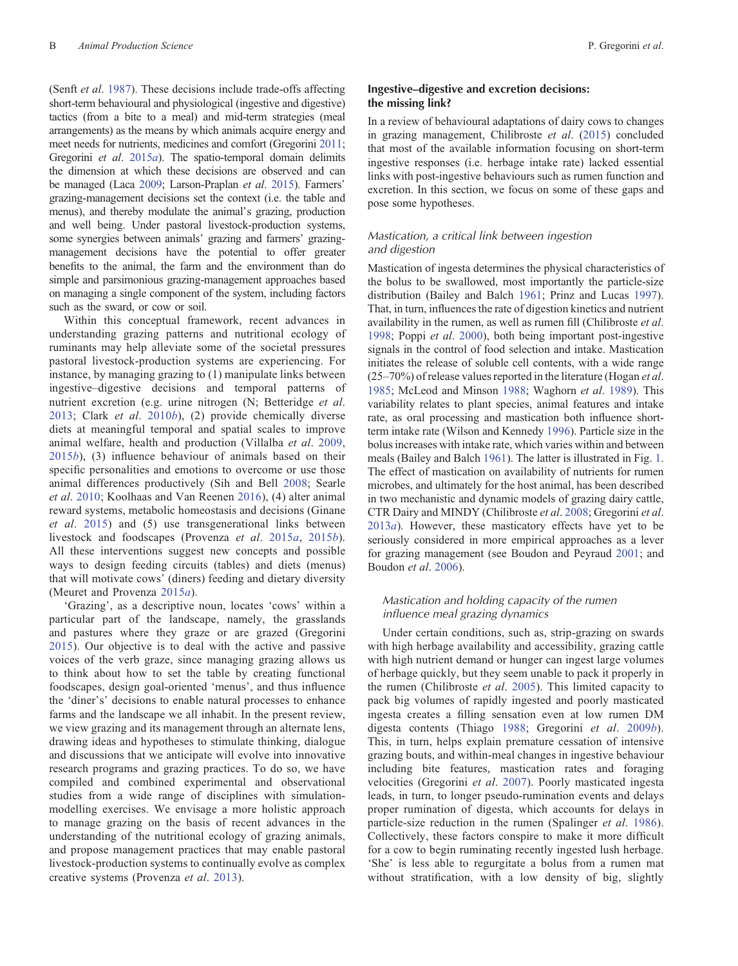(Senft et al. [1987\)](#page-19-0). These decisions include trade-offs affecting short-term behavioural and physiological (ingestive and digestive) tactics (from a bite to a meal) and mid-term strategies (meal arrangements) as the means by which animals acquire energy and meet needs for nutrients, medicines and comfort (Gregorini [2011](#page-16-0); Gregorini et al. [2015](#page-16-0)a). The spatio-temporal domain delimits the dimension at which these decisions are observed and can be managed (Laca [2009;](#page-17-0) Larson-Praplan et al. [2015](#page-17-0)). Farmers' grazing-management decisions set the context (i.e. the table and menus), and thereby modulate the animal's grazing, production and well being. Under pastoral livestock-production systems, some synergies between animals' grazing and farmers' grazingmanagement decisions have the potential to offer greater benefits to the animal, the farm and the environment than do simple and parsimonious grazing-management approaches based on managing a single component of the system, including factors such as the sward, or cow or soil.

Within this conceptual framework, recent advances in understanding grazing patterns and nutritional ecology of ruminants may help alleviate some of the societal pressures pastoral livestock-production systems are experiencing. For instance, by managing grazing to (1) manipulate links between ingestive–digestive decisions and temporal patterns of nutrient excretion (e.g. urine nitrogen (N; Betteridge *et al.*) [2013;](#page-14-0) Clark et al. [2010](#page-15-0)b), (2) provide chemically diverse diets at meaningful temporal and spatial scales to improve animal welfare, health and production (Villalba et al. [2009](#page-20-0),  $2015b$  $2015b$ , (3) influence behaviour of animals based on their specific personalities and emotions to overcome or use those animal differences productively (Sih and Bell [2008](#page-19-0); Searle et al. [2010](#page-19-0); Koolhaas and Van Reenen [2016](#page-17-0)), (4) alter animal reward systems, metabolic homeostasis and decisions (Ginane et al. [2015](#page-16-0)) and (5) use transgenerational links between livestock and foodscapes (Provenza et al. [2015](#page-18-0)a, [2015](#page-18-0)b). All these interventions suggest new concepts and possible ways to design feeding circuits (tables) and diets (menus) that will motivate cows' (diners) feeding and dietary diversity (Meuret and Provenza [2015](#page-18-0)a).

'Grazing', as a descriptive noun, locates 'cows' within a particular part of the landscape, namely, the grasslands and pastures where they graze or are grazed (Gregorini [2015\)](#page-16-0). Our objective is to deal with the active and passive voices of the verb graze, since managing grazing allows us to think about how to set the table by creating functional foodscapes, design goal-oriented 'menus', and thus influence the 'diner's' decisions to enable natural processes to enhance farms and the landscape we all inhabit. In the present review, we view grazing and its management through an alternate lens, drawing ideas and hypotheses to stimulate thinking, dialogue and discussions that we anticipate will evolve into innovative research programs and grazing practices. To do so, we have compiled and combined experimental and observational studies from a wide range of disciplines with simulationmodelling exercises. We envisage a more holistic approach to manage grazing on the basis of recent advances in the understanding of the nutritional ecology of grazing animals, and propose management practices that may enable pastoral livestock-production systems to continually evolve as complex creative systems (Provenza et al. [2013\)](#page-18-0).

# Ingestive–digestive and excretion decisions: the missing link?

In a review of behavioural adaptations of dairy cows to changes in grazing management, Chilibroste et al. ([2015](#page-15-0)) concluded that most of the available information focusing on short-term ingestive responses (i.e. herbage intake rate) lacked essential links with post-ingestive behaviours such as rumen function and excretion. In this section, we focus on some of these gaps and pose some hypotheses.

# Mastication, a critical link between ingestion and digestion

Mastication of ingesta determines the physical characteristics of the bolus to be swallowed, most importantly the particle-size distribution (Bailey and Balch [1961](#page-14-0); Prinz and Lucas [1997](#page-18-0)). That, in turn, influences the rate of digestion kinetics and nutrient availability in the rumen, as well as rumen fill (Chilibroste et al. [1998;](#page-15-0) Poppi et al. [2000\)](#page-18-0), both being important post-ingestive signals in the control of food selection and intake. Mastication initiates the release of soluble cell contents, with a wide range  $(25-70%)$  of release values reported in the literature (Hogan *et al.*) [1985;](#page-17-0) McLeod and Minson [1988](#page-18-0); Waghorn et al. [1989](#page-20-0)). This variability relates to plant species, animal features and intake rate, as oral processing and mastication both influence shortterm intake rate (Wilson and Kennedy [1996](#page-20-0)). Particle size in the bolus increases with intake rate, which varies within and between meals (Bailey and Balch [1961\)](#page-14-0). The latter is illustrated in Fig. [1](#page-2-0). The effect of mastication on availability of nutrients for rumen microbes, and ultimately for the host animal, has been described in two mechanistic and dynamic models of grazing dairy cattle, CTR Dairy and MINDY (Chilibroste et al. [2008;](#page-15-0) Gregorini et al. [2013](#page-16-0)a). However, these masticatory effects have yet to be seriously considered in more empirical approaches as a lever for grazing management (see Boudon and Peyraud [2001](#page-14-0); and Boudon et al. [2006\)](#page-14-0).

## Mastication and holding capacity of the rumen influence meal grazing dynamics

Under certain conditions, such as, strip-grazing on swards with high herbage availability and accessibility, grazing cattle with high nutrient demand or hunger can ingest large volumes of herbage quickly, but they seem unable to pack it properly in the rumen (Chilibroste et al. [2005\)](#page-15-0). This limited capacity to pack big volumes of rapidly ingested and poorly masticated ingesta creates a filling sensation even at low rumen DM digesta contents (Thiago [1988](#page-19-0); Gregorini et al. [2009](#page-16-0)b). This, in turn, helps explain premature cessation of intensive grazing bouts, and within-meal changes in ingestive behaviour including bite features, mastication rates and foraging velocities (Gregorini et al. [2007](#page-16-0)). Poorly masticated ingesta leads, in turn, to longer pseudo-rumination events and delays proper rumination of digesta, which accounts for delays in particle-size reduction in the rumen (Spalinger et al. [1986](#page-19-0)). Collectively, these factors conspire to make it more difficult for a cow to begin ruminating recently ingested lush herbage. 'She' is less able to regurgitate a bolus from a rumen mat without stratification, with a low density of big, slightly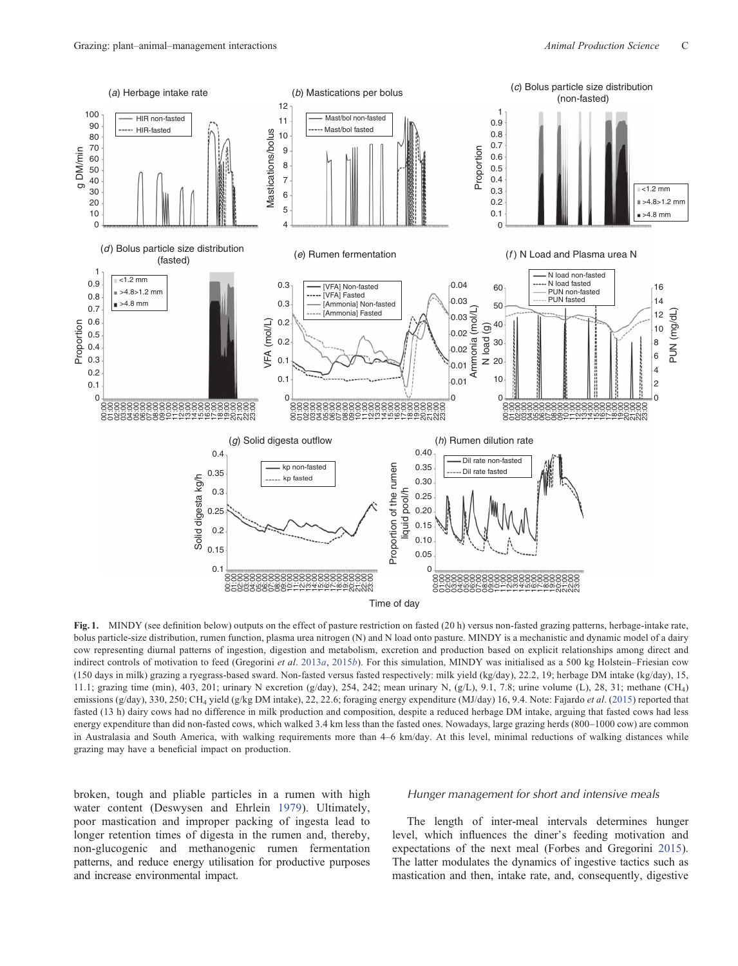<span id="page-2-0"></span>

Fig. 1. MINDY (see definition below) outputs on the effect of pasture restriction on fasted (20 h) versus non-fasted grazing patterns, herbage-intake rate, bolus particle-size distribution, rumen function, plasma urea nitrogen (N) and N load onto pasture. MINDY is a mechanistic and dynamic model of a dairy cow representing diurnal patterns of ingestion, digestion and metabolism, excretion and production based on explicit relationships among direct and indirect controls of motivation to feed (Gregorini et al. [2013](#page-16-0)a, [2015](#page-16-0)b). For this simulation, MINDY was initialised as a 500 kg Holstein–Friesian cow (150 days in milk) grazing a ryegrass-based sward. Non-fasted versus fasted respectively: milk yield (kg/day), 22.2, 19; herbage DM intake (kg/day), 15, 11.1; grazing time (min), 403, 201; urinary N excretion (g/day), 254, 242; mean urinary N, (g/L), 9.1, 7.8; urine volume (L), 28, 31; methane (CH4) emissions (g/day), 330, 250; CH<sub>4</sub> yield (g/kg DM intake), 22, 22.6; foraging energy expenditure (MJ/day) 16, 9.4. Note: Fajardo et al. [\(2015](#page-15-0)) reported that fasted (13 h) dairy cows had no difference in milk production and composition, despite a reduced herbage DM intake, arguing that fasted cows had less energy expenditure than did non-fasted cows, which walked 3.4 km less than the fasted ones. Nowadays, large grazing herds (800–1000 cow) are common in Australasia and South America, with walking requirements more than 4–6 km/day. At this level, minimal reductions of walking distances while grazing may have a beneficial impact on production.

broken, tough and pliable particles in a rumen with high water content (Deswysen and Ehrlein [1979\)](#page-15-0). Ultimately, poor mastication and improper packing of ingesta lead to longer retention times of digesta in the rumen and, thereby, non-glucogenic and methanogenic rumen fermentation patterns, and reduce energy utilisation for productive purposes and increase environmental impact.

#### Hunger management for short and intensive meals

The length of inter-meal intervals determines hunger level, which influences the diner's feeding motivation and expectations of the next meal (Forbes and Gregorini [2015](#page-16-0)). The latter modulates the dynamics of ingestive tactics such as mastication and then, intake rate, and, consequently, digestive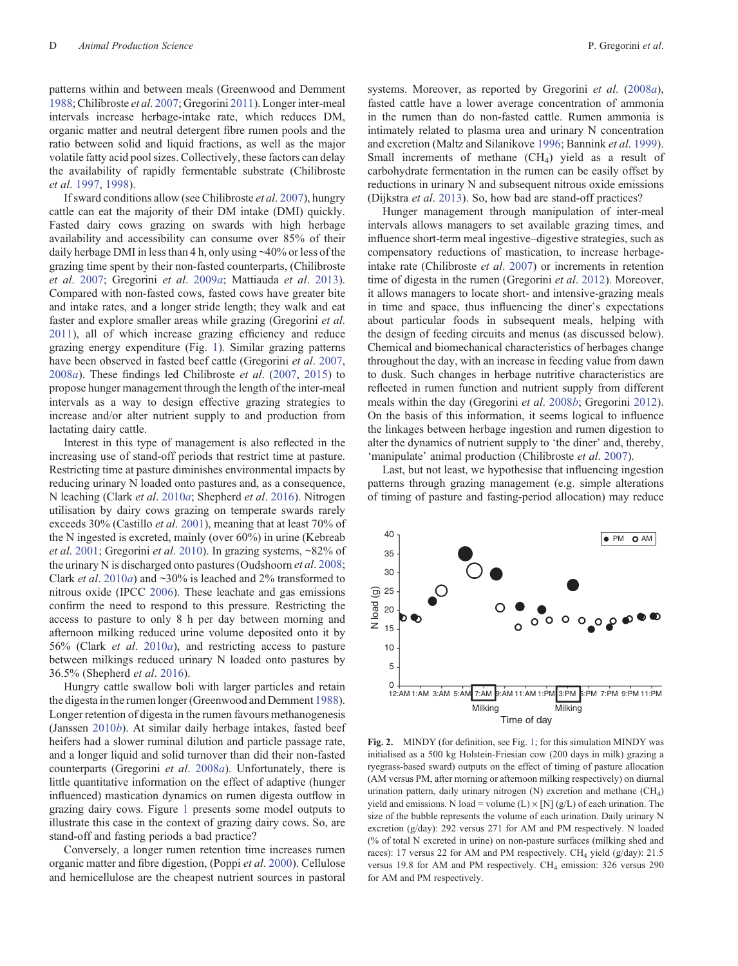<span id="page-3-0"></span>patterns within and between meals (Greenwood and Demment [1988;](#page-16-0) Chilibroste et al. [2007](#page-15-0); Gregorini [2011\)](#page-16-0). Longer inter-meal intervals increase herbage-intake rate, which reduces DM, organic matter and neutral detergent fibre rumen pools and the ratio between solid and liquid fractions, as well as the major volatile fatty acid pool sizes. Collectively, these factors can delay the availability of rapidly fermentable substrate (Chilibroste et al. [1997](#page-15-0), [1998](#page-15-0)).

If sward conditions allow (see Chilibroste et al. [2007\)](#page-15-0), hungry cattle can eat the majority of their DM intake (DMI) quickly. Fasted dairy cows grazing on swards with high herbage availability and accessibility can consume over 85% of their daily herbage DMI in less than 4 h, only using ~40% or less of the grazing time spent by their non-fasted counterparts, (Chilibroste et al. [2007;](#page-15-0) Gregorini et al. [2009](#page-16-0)a; Mattiauda et al. [2013](#page-17-0)). Compared with non-fasted cows, fasted cows have greater bite and intake rates, and a longer stride length; they walk and eat faster and explore smaller areas while grazing (Gregorini et al. [2011\)](#page-16-0), all of which increase grazing efficiency and reduce grazing energy expenditure (Fig. [1](#page-2-0)). Similar grazing patterns have been observed in fasted beef cattle (Gregorini et al. [2007](#page-16-0),  $2008a$  $2008a$ ). These findings led Chilibroste *et al.*  $(2007, 2015)$  $(2007, 2015)$  $(2007, 2015)$  $(2007, 2015)$  to propose hunger management through the length of the inter-meal intervals as a way to design effective grazing strategies to increase and/or alter nutrient supply to and production from lactating dairy cattle.

Interest in this type of management is also reflected in the increasing use of stand-off periods that restrict time at pasture. Restricting time at pasture diminishes environmental impacts by reducing urinary N loaded onto pastures and, as a consequence, N leaching (Clark et al. [2010](#page-15-0)a; Shepherd et al. [2016](#page-19-0)). Nitrogen utilisation by dairy cows grazing on temperate swards rarely exceeds 30% (Castillo et al. [2001\)](#page-14-0), meaning that at least 70% of the N ingested is excreted, mainly (over 60%) in urine (Kebreab et al. [2001;](#page-17-0) Gregorini et al. [2010](#page-16-0)). In grazing systems, ~82% of the urinary N is discharged onto pastures (Oudshoorn *et al.* [2008](#page-18-0); Clark *et al.* [2010](#page-15-0)*a*) and ~30% is leached and 2% transformed to nitrous oxide (IPCC [2006\)](#page-17-0). These leachate and gas emissions confirm the need to respond to this pressure. Restricting the access to pasture to only 8 h per day between morning and afternoon milking reduced urine volume deposited onto it by 56% (Clark et al. [2010](#page-15-0)a), and restricting access to pasture between milkings reduced urinary N loaded onto pastures by 36.5% (Shepherd et al. [2016](#page-19-0)).

Hungry cattle swallow boli with larger particles and retain the digesta in the rumen longer (Greenwood and Demment [1988](#page-16-0)). Longer retention of digesta in the rumen favours methanogenesis (Janssen [2010](#page-17-0)b). At similar daily herbage intakes, fasted beef heifers had a slower ruminal dilution and particle passage rate, and a longer liquid and solid turnover than did their non-fasted counterparts (Gregorini et al. [2008](#page-16-0)a). Unfortunately, there is little quantitative information on the effect of adaptive (hunger influenced) mastication dynamics on rumen digesta outflow in grazing dairy cows. Figure [1](#page-2-0) presents some model outputs to illustrate this case in the context of grazing dairy cows. So, are stand-off and fasting periods a bad practice?

Conversely, a longer rumen retention time increases rumen organic matter and fibre digestion, (Poppi et al. [2000\)](#page-18-0). Cellulose and hemicellulose are the cheapest nutrient sources in pastoral

systems. Moreover, as reported by Gregorini et al. ([2008](#page-16-0)a), fasted cattle have a lower average concentration of ammonia in the rumen than do non-fasted cattle. Rumen ammonia is intimately related to plasma urea and urinary N concentration and excretion (Maltz and Silanikove [1996;](#page-17-0) Bannink et al. [1999](#page-14-0)). Small increments of methane (CH4) yield as a result of carbohydrate fermentation in the rumen can be easily offset by reductions in urinary N and subsequent nitrous oxide emissions (Dijkstra et al. [2013\)](#page-15-0). So, how bad are stand-off practices?

Hunger management through manipulation of inter-meal intervals allows managers to set available grazing times, and influence short-term meal ingestive–digestive strategies, such as compensatory reductions of mastication, to increase herbageintake rate (Chilibroste et al. [2007](#page-15-0)) or increments in retention time of digesta in the rumen (Gregorini *et al.* [2012](#page-16-0)). Moreover, it allows managers to locate short- and intensive-grazing meals in time and space, thus influencing the diner's expectations about particular foods in subsequent meals, helping with the design of feeding circuits and menus (as discussed below). Chemical and biomechanical characteristics of herbages change throughout the day, with an increase in feeding value from dawn to dusk. Such changes in herbage nutritive characteristics are reflected in rumen function and nutrient supply from different meals within the day (Gregorini et al. [2008](#page-16-0)b; Gregorini [2012](#page-16-0)). On the basis of this information, it seems logical to influence the linkages between herbage ingestion and rumen digestion to alter the dynamics of nutrient supply to 'the diner' and, thereby, 'manipulate' animal production (Chilibroste et al. [2007](#page-15-0)).

Last, but not least, we hypothesise that influencing ingestion patterns through grazing management (e.g. simple alterations of timing of pasture and fasting-period allocation) may reduce



Fig. 2. MINDY (for definition, see Fig. [1;](#page-2-0) for this simulation MINDY was initialised as a 500 kg Holstein-Friesian cow (200 days in milk) grazing a ryegrass-based sward) outputs on the effect of timing of pasture allocation (AM versus PM, after morning or afternoon milking respectively) on diurnal urination pattern, daily urinary nitrogen (N) excretion and methane (CH<sub>4</sub>) yield and emissions. N load = volume  $(L) \times [N]$  (g/L) of each urination. The size of the bubble represents the volume of each urination. Daily urinary N excretion (g/day): 292 versus 271 for AM and PM respectively. N loaded (% of total N excreted in urine) on non-pasture surfaces (milking shed and races): 17 versus 22 for AM and PM respectively. CH<sub>4</sub> yield ( $g/day$ ): 21.5 versus 19.8 for AM and PM respectively.  $CH_4$  emission: 326 versus 290 for AM and PM respectively.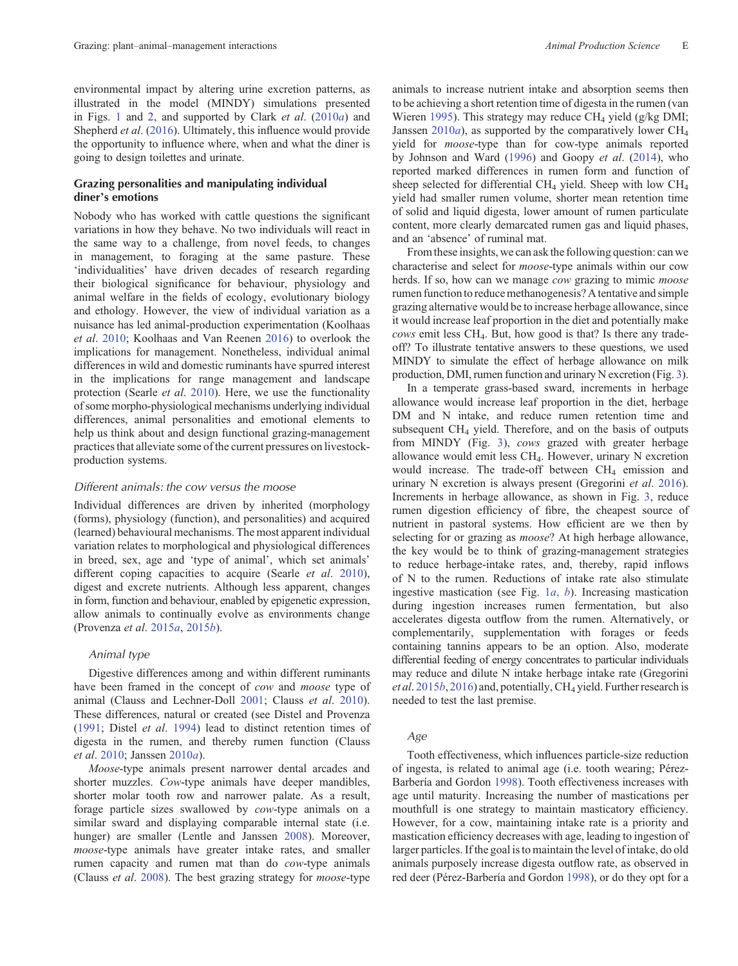environmental impact by altering urine excretion patterns, as illustrated in the model (MINDY) simulations presented in Figs. 1 [and](#page-3-0) 2, and supported by Clark *et al.*  $(2010a)$  $(2010a)$  and Shepherd et al. ([2016\)](#page-19-0). Ultimately, this influence would provide the opportunity to influence where, when and what the diner is going to design toilettes and urinate.

# Grazing personalities and manipulating individual diner's emotions

Nobody who has worked with cattle questions the significant variations in how they behave. No two individuals will react in the same way to a challenge, from novel feeds, to changes in management, to foraging at the same pasture. These 'individualities' have driven decades of research regarding their biological significance for behaviour, physiology and animal welfare in the fields of ecology, evolutionary biology and ethology. However, the view of individual variation as a nuisance has led animal-production experimentation (Koolhaas et al. [2010;](#page-17-0) Koolhaas and Van Reenen [2016](#page-17-0)) to overlook the implications for management. Nonetheless, individual animal differences in wild and domestic ruminants have spurred interest in the implications for range management and landscape protection (Searle et al. [2010\)](#page-19-0). Here, we use the functionality of some morpho-physiological mechanisms underlying individual differences, animal personalities and emotional elements to help us think about and design functional grazing-management practices that alleviate some of the current pressures on livestockproduction systems.

## Different animals: the cow versus the moose

Individual differences are driven by inherited (morphology (forms), physiology (function), and personalities) and acquired (learned) behavioural mechanisms. The most apparent individual variation relates to morphological and physiological differences in breed, sex, age and 'type of animal', which set animals' different coping capacities to acquire (Searle et al. [2010](#page-19-0)), digest and excrete nutrients. Although less apparent, changes in form, function and behaviour, enabled by epigenetic expression, allow animals to continually evolve as environments change (Provenza et al. [2015](#page-18-0)a, [2015](#page-18-0)b).

# Animal type

Digestive differences among and within different ruminants have been framed in the concept of cow and moose type of animal (Clauss and Lechner-Doll [2001](#page-15-0); Clauss et al. [2010](#page-15-0)). These differences, natural or created (see Distel and Provenza ([1991;](#page-15-0) Distel et al. [1994\)](#page-15-0) lead to distinct retention times of digesta in the rumen, and thereby rumen function (Clauss et al. [2010](#page-15-0); Janssen [2010](#page-17-0)a).

Moose-type animals present narrower dental arcades and shorter muzzles. Cow-type animals have deeper mandibles, shorter molar tooth row and narrower palate. As a result, forage particle sizes swallowed by cow-type animals on a similar sward and displaying comparable internal state (i.e. hunger) are smaller (Lentle and Janssen [2008](#page-17-0)). Moreover, moose-type animals have greater intake rates, and smaller rumen capacity and rumen mat than do cow-type animals (Clauss et al. [2008\)](#page-15-0). The best grazing strategy for moose-type animals to increase nutrient intake and absorption seems then to be achieving a short retention time of digesta in the rumen (van Wieren [1995\)](#page-20-0). This strategy may reduce  $CH<sub>4</sub>$  yield (g/kg DMI; Janssen  $2010a$  $2010a$ ), as supported by the comparatively lower CH<sub>4</sub> yield for moose-type than for cow-type animals reported by Johnson and Ward [\(1996](#page-17-0)) and Goopy et al. [\(2014\)](#page-16-0), who reported marked differences in rumen form and function of sheep selected for differential  $CH_4$  yield. Sheep with low  $CH_4$ yield had smaller rumen volume, shorter mean retention time

From these insights, we can ask the following question: can we characterise and select for moose-type animals within our cow herds. If so, how can we manage *cow* grazing to mimic *moose* rumen functionto reduce methanogenesis? Atentative and simple grazing alternative would be to increase herbage allowance, since it would increase leaf proportion in the diet and potentially make cows emit less CH4. But, how good is that? Is there any tradeoff? To illustrate tentative answers to these questions, we used MINDY to simulate the effect of herbage allowance on milk production, DMI, rumen function and urinary N excretion (Fig. [3](#page-5-0)).

of solid and liquid digesta, lower amount of rumen particulate content, more clearly demarcated rumen gas and liquid phases,

and an 'absence' of ruminal mat.

In a temperate grass-based sward, increments in herbage allowance would increase leaf proportion in the diet, herbage DM and N intake, and reduce rumen retention time and subsequent CH4 yield. Therefore, and on the basis of outputs from MINDY (Fig. [3](#page-5-0)), cows grazed with greater herbage allowance would emit less CH4. However, urinary N excretion would increase. The trade-off between CH<sub>4</sub> emission and urinary N excretion is always present (Gregorini et al. [2016](#page-16-0)). Increments in herbage allowance, as shown in Fig. [3,](#page-5-0) reduce rumen digestion efficiency of fibre, the cheapest source of nutrient in pastoral systems. How efficient are we then by selecting for or grazing as *moose*? At high herbage allowance, the key would be to think of grazing-management strategies to reduce herbage-intake rates, and, thereby, rapid inflows of N to the rumen. Reductions of intake rate also stimulate ingestive m[a](#page-2-0)stication (see Fig.  $1a, b$ ). Increasing mastication during ingestion increases rumen fermentation, but also accelerates digesta outflow from the rumen. Alternatively, or complementarily, supplementation with forages or feeds containing tannins appears to be an option. Also, moderate differential feeding of energy concentrates to particular individuals may reduce and dilute N intake herbage intake rate (Gregorini et al. [2015](#page-16-0)b, [2016](#page-16-0)) and, potentially, CH<sub>4</sub> yield. Further research is needed to test the last premise.

# Age

Tooth effectiveness, which influences particle-size reduction of ingesta, is related to animal age (i.e. tooth wearing; Pérez-Barbería and Gordon [1998\)](#page-18-0). Tooth effectiveness increases with age until maturity. Increasing the number of mastications per mouthfull is one strategy to maintain masticatory efficiency. However, for a cow, maintaining intake rate is a priority and mastication efficiency decreases with age, leading to ingestion of larger particles. If the goal is to maintain the level of intake, do old animals purposely increase digesta outflow rate, as observed in red deer (Pérez-Barbería and Gordon [1998](#page-18-0)), or do they opt for a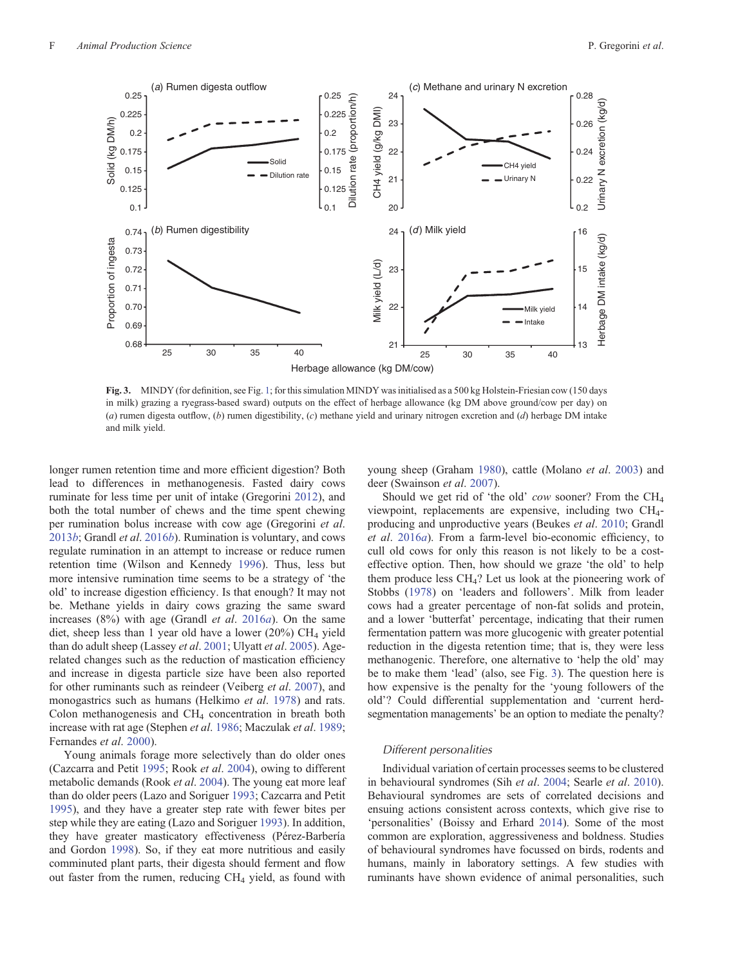<span id="page-5-0"></span>

Fig. 3. MINDY (for definition, see Fig. [1;](#page-2-0) for this simulation MINDY was initialised as a 500 kg Holstein-Friesian cow (150 days in milk) grazing a ryegrass-based sward) outputs on the effect of herbage allowance (kg DM above ground/cow per day) on (a) rumen digesta outflow, (b) rumen digestibility, (c) methane yield and urinary nitrogen excretion and (d) herbage DM intake and milk yield.

longer rumen retention time and more efficient digestion? Both lead to differences in methanogenesis. Fasted dairy cows ruminate for less time per unit of intake (Gregorini [2012\)](#page-16-0), and both the total number of chews and the time spent chewing per rumination bolus increase with cow age (Gregorini et al. [2013](#page-16-0)b; Grandl et al. [2016](#page-16-0)b). Rumination is voluntary, and cows regulate rumination in an attempt to increase or reduce rumen retention time (Wilson and Kennedy [1996](#page-20-0)). Thus, less but more intensive rumination time seems to be a strategy of 'the old' to increase digestion efficiency. Is that enough? It may not be. Methane yields in dairy cows grazing the same sward increases  $(8\%)$  with age (Grandl *et al.* [2016](#page-16-0)*a*). On the same diet, sheep less than 1 year old have a lower  $(20\%)$  CH<sub>4</sub> yield than do adult sheep (Lassey et al. [2001;](#page-17-0) Ulyatt et al. [2005\)](#page-20-0). Agerelated changes such as the reduction of mastication efficiency and increase in digesta particle size have been also reported for other ruminants such as reindeer (Veiberg et al. [2007\)](#page-20-0), and monogastrics such as humans (Helkimo et al. [1978](#page-17-0)) and rats. Colon methanogenesis and  $CH<sub>4</sub>$  concentration in breath both increase with rat age (Stephen et al. [1986;](#page-19-0) Maczulak et al. [1989](#page-17-0); Fernandes et al. [2000](#page-15-0)).

Young animals forage more selectively than do older ones (Cazcarra and Petit [1995](#page-15-0); Rook et al. [2004](#page-19-0)), owing to different metabolic demands (Rook *et al.* [2004\)](#page-19-0). The young eat more leaf than do older peers (Lazo and Soriguer [1993;](#page-17-0) Cazcarra and Petit [1995\)](#page-15-0), and they have a greater step rate with fewer bites per step while they are eating (Lazo and Soriguer [1993](#page-17-0)). In addition, they have greater masticatory effectiveness (Pérez-Barbería and Gordon [1998](#page-18-0)). So, if they eat more nutritious and easily comminuted plant parts, their digesta should ferment and flow out faster from the rumen, reducing CH4 yield, as found with young sheep (Graham [1980\)](#page-16-0), cattle (Molano et al. [2003\)](#page-18-0) and deer (Swainson et al. [2007](#page-19-0)).

Should we get rid of 'the old' cow sooner? From the CH4 viewpoint, replacements are expensive, including two CH4 producing and unproductive years (Beukes et al. [2010](#page-14-0); Grandl et al. [2016](#page-16-0)a). From a farm-level bio-economic efficiency, to cull old cows for only this reason is not likely to be a costeffective option. Then, how should we graze 'the old' to help them produce less CH4? Let us look at the pioneering work of Stobbs ([1978\)](#page-19-0) on 'leaders and followers'. Milk from leader cows had a greater percentage of non-fat solids and protein, and a lower 'butterfat' percentage, indicating that their rumen fermentation pattern was more glucogenic with greater potential reduction in the digesta retention time; that is, they were less methanogenic. Therefore, one alternative to 'help the old' may be to make them 'lead' (also, see Fig. 3). The question here is how expensive is the penalty for the 'young followers of the old'? Could differential supplementation and 'current herdsegmentation managements' be an option to mediate the penalty?

## Different personalities

Individual variation of certain processes seems to be clustered in behavioural syndromes (Sih et al. [2004](#page-19-0); Searle et al. [2010](#page-19-0)). Behavioural syndromes are sets of correlated decisions and ensuing actions consistent across contexts, which give rise to 'personalities' (Boissy and Erhard [2014](#page-14-0)). Some of the most common are exploration, aggressiveness and boldness. Studies of behavioural syndromes have focussed on birds, rodents and humans, mainly in laboratory settings. A few studies with ruminants have shown evidence of animal personalities, such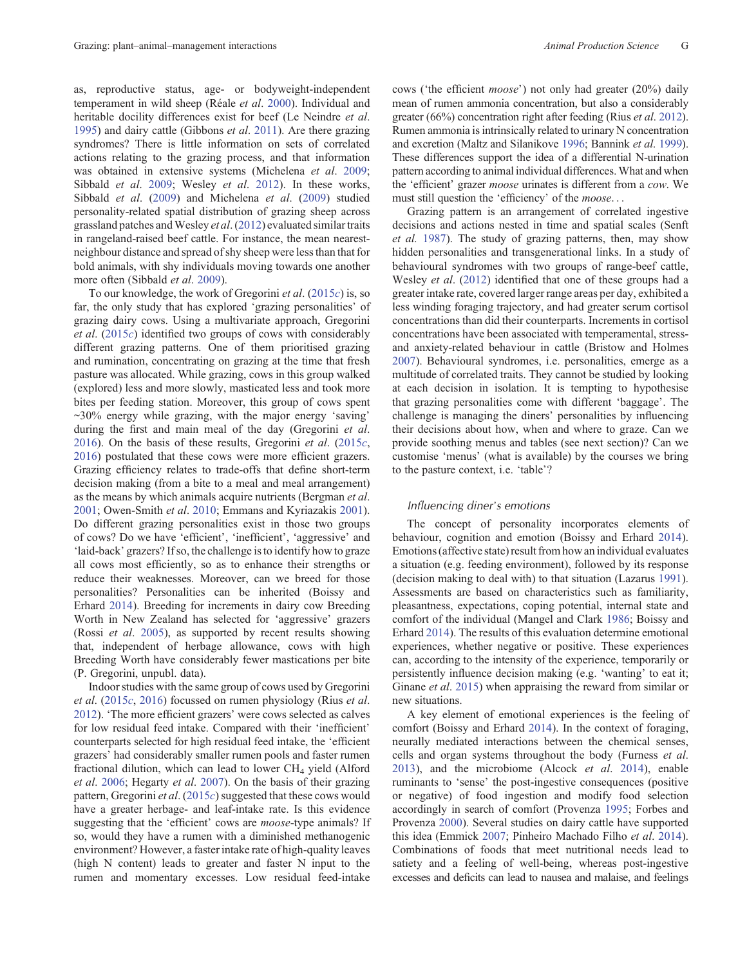as, reproductive status, age- or bodyweight-independent temperament in wild sheep (Réale et al. [2000\)](#page-19-0). Individual and heritable docility differences exist for beef (Le Neindre et al. [1995](#page-17-0)) and dairy cattle (Gibbons et al. [2011](#page-16-0)). Are there grazing syndromes? There is little information on sets of correlated actions relating to the grazing process, and that information was obtained in extensive systems (Michelena et al. [2009](#page-18-0); Sibbald et al. [2009;](#page-19-0) Wesley et al. [2012](#page-20-0)). In these works, Sibbald et al. [\(2009](#page-19-0)) and Michelena et al. [\(2009](#page-18-0)) studied personality-related spatial distribution of grazing sheep across grassland patches and Wesley *et al.* [\(2012](#page-20-0)) evaluated similar traits in rangeland-raised beef cattle. For instance, the mean nearestneighbour distance and spread of shy sheep were less than that for bold animals, with shy individuals moving towards one another more often (Sibbald et al. [2009](#page-19-0)).

To our knowledge, the work of Gregorini et al.  $(2015c)$  $(2015c)$  is, so far, the only study that has explored 'grazing personalities' of grazing dairy cows. Using a multivariate approach, Gregorini et al. ([2015](#page-16-0)c) identified two groups of cows with considerably different grazing patterns. One of them prioritised grazing and rumination, concentrating on grazing at the time that fresh pasture was allocated. While grazing, cows in this group walked (explored) less and more slowly, masticated less and took more bites per feeding station. Moreover, this group of cows spent ~30% energy while grazing, with the major energy 'saving' during the first and main meal of the day (Gregorini et al. [2016](#page-16-0)). On the basis of these results, Gregorini et al.  $(2015c,$  $(2015c,$ [2016](#page-16-0)) postulated that these cows were more efficient grazers. Grazing efficiency relates to trade-offs that define short-term decision making (from a bite to a meal and meal arrangement) as the means by which animals acquire nutrients (Bergman et al. [2001](#page-14-0); Owen-Smith et al. [2010;](#page-18-0) Emmans and Kyriazakis [2001](#page-15-0)). Do different grazing personalities exist in those two groups of cows? Do we have 'efficient', 'inefficient', 'aggressive' and 'laid-back' grazers? If so, the challenge is to identify how to graze all cows most efficiently, so as to enhance their strengths or reduce their weaknesses. Moreover, can we breed for those personalities? Personalities can be inherited (Boissy and Erhard [2014](#page-14-0)). Breeding for increments in dairy cow Breeding Worth in New Zealand has selected for 'aggressive' grazers (Rossi et al. [2005](#page-19-0)), as supported by recent results showing that, independent of herbage allowance, cows with high Breeding Worth have considerably fewer mastications per bite (P. Gregorini, unpubl. data).

Indoor studies with the same group of cows used by Gregorini et al. [\(2015](#page-16-0)c, [2016\)](#page-16-0) focussed on rumen physiology (Rius et al. [2012](#page-19-0)). 'The more efficient grazers' were cows selected as calves for low residual feed intake. Compared with their 'inefficient' counterparts selected for high residual feed intake, the 'efficient grazers' had considerably smaller rumen pools and faster rumen fractional dilution, which can lead to lower  $CH<sub>4</sub>$  yield (Alford et al. [2006;](#page-14-0) Hegarty et al. [2007\)](#page-17-0). On the basis of their grazing pattern, Gregorini et al. ([2015](#page-16-0)c) suggested that these cows would have a greater herbage- and leaf-intake rate. Is this evidence suggesting that the 'efficient' cows are *moose*-type animals? If so, would they have a rumen with a diminished methanogenic environment? However, a faster intake rate of high-quality leaves (high N content) leads to greater and faster N input to the rumen and momentary excesses. Low residual feed-intake

cows ('the efficient moose') not only had greater (20%) daily mean of rumen ammonia concentration, but also a considerably greater (66%) concentration right after feeding (Rius et al. [2012](#page-19-0)). Rumen ammonia is intrinsically related to urinary N concentration and excretion (Maltz and Silanikove [1996;](#page-17-0) Bannink et al. [1999](#page-14-0)). These differences support the idea of a differential N-urination pattern according to animal individual differences.What and when the 'efficient' grazer moose urinates is different from a cow. We must still question the 'efficiency' of the *moose*...

Grazing pattern is an arrangement of correlated ingestive decisions and actions nested in time and spatial scales (Senft et al. [1987](#page-19-0)). The study of grazing patterns, then, may show hidden personalities and transgenerational links. In a study of behavioural syndromes with two groups of range-beef cattle, Wesley et al. ([2012\)](#page-20-0) identified that one of these groups had a greater intake rate, covered larger range areas per day, exhibited a less winding foraging trajectory, and had greater serum cortisol concentrations than did their counterparts. Increments in cortisol concentrations have been associated with temperamental, stressand anxiety-related behaviour in cattle (Bristow and Holmes [2007\)](#page-14-0). Behavioural syndromes, i.e. personalities, emerge as a multitude of correlated traits. They cannot be studied by looking at each decision in isolation. It is tempting to hypothesise that grazing personalities come with different 'baggage'. The challenge is managing the diners' personalities by influencing their decisions about how, when and where to graze. Can we provide soothing menus and tables (see next section)? Can we customise 'menus' (what is available) by the courses we bring to the pasture context, i.e. 'table'?

#### Influencing diner's emotions

The concept of personality incorporates elements of behaviour, cognition and emotion (Boissy and Erhard [2014](#page-14-0)). Emotions (affective state) result from how an individual evaluates a situation (e.g. feeding environment), followed by its response (decision making to deal with) to that situation (Lazarus [1991](#page-17-0)). Assessments are based on characteristics such as familiarity, pleasantness, expectations, coping potential, internal state and comfort of the individual (Mangel and Clark [1986](#page-17-0); Boissy and Erhard [2014\)](#page-14-0). The results of this evaluation determine emotional experiences, whether negative or positive. These experiences can, according to the intensity of the experience, temporarily or persistently influence decision making (e.g. 'wanting' to eat it; Ginane et al. [2015](#page-16-0)) when appraising the reward from similar or new situations.

A key element of emotional experiences is the feeling of comfort (Boissy and Erhard [2014\)](#page-14-0). In the context of foraging, neurally mediated interactions between the chemical senses, cells and organ systems throughout the body (Furness et al. [2013\)](#page-16-0), and the microbiome (Alcock et al. [2014\)](#page-14-0), enable ruminants to 'sense' the post-ingestive consequences (positive or negative) of food ingestion and modify food selection accordingly in search of comfort (Provenza [1995](#page-18-0); Forbes and Provenza [2000](#page-16-0)). Several studies on dairy cattle have supported this idea (Emmick [2007](#page-15-0); Pinheiro Machado Filho et al. [2014](#page-18-0)). Combinations of foods that meet nutritional needs lead to satiety and a feeling of well-being, whereas post-ingestive excesses and deficits can lead to nausea and malaise, and feelings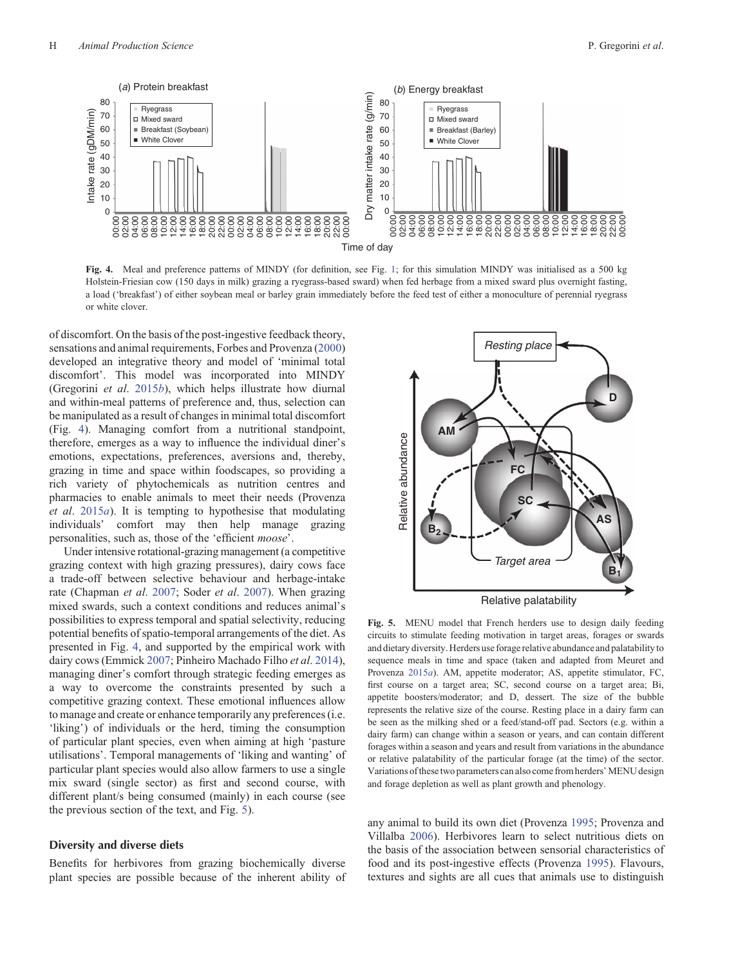<span id="page-7-0"></span>

Fig. 4. Meal and preference patterns of MINDY (for definition, see Fig. [1](#page-2-0); for this simulation MINDY was initialised as a 500 kg Holstein-Friesian cow (150 days in milk) grazing a ryegrass-based sward) when fed herbage from a mixed sward plus overnight fasting, a load ('breakfast') of either soybean meal or barley grain immediately before the feed test of either a monoculture of perennial ryegrass or white clover.

of discomfort. On the basis of the post-ingestive feedback theory, sensations and animal requirements, Forbes and Provenza ([2000\)](#page-16-0) developed an integrative theory and model of 'minimal total discomfort'. This model was incorporated into MINDY (Gregorini *et al.* [2015](#page-16-0)*b*), which helps illustrate how diurnal and within-meal patterns of preference and, thus, selection can be manipulated as a result of changes in minimal total discomfort (Fig. 4). Managing comfort from a nutritional standpoint, therefore, emerges as a way to influence the individual diner's emotions, expectations, preferences, aversions and, thereby, grazing in time and space within foodscapes, so providing a rich variety of phytochemicals as nutrition centres and pharmacies to enable animals to meet their needs (Provenza et al. [2015](#page-18-0)a). It is tempting to hypothesise that modulating individuals' comfort may then help manage grazing personalities, such as, those of the 'efficient moose'.

Under intensive rotational-grazing management (a competitive grazing context with high grazing pressures), dairy cows face a trade-off between selective behaviour and herbage-intake rate (Chapman *et al.* [2007;](#page-15-0) Soder *et al.* [2007\)](#page-19-0). When grazing mixed swards, such a context conditions and reduces animal's possibilities to express temporal and spatial selectivity, reducing potential benefits of spatio-temporal arrangements of the diet. As presented in Fig. 4, and supported by the empirical work with dairy cows (Emmick [2007;](#page-15-0) Pinheiro Machado Filho et al. [2014](#page-18-0)), managing diner's comfort through strategic feeding emerges as a way to overcome the constraints presented by such a competitive grazing context. These emotional influences allow to manage and create or enhance temporarily any preferences (i.e. 'liking') of individuals or the herd, timing the consumption of particular plant species, even when aiming at high 'pasture utilisations'. Temporal managements of 'liking and wanting' of particular plant species would also allow farmers to use a single mix sward (single sector) as first and second course, with different plant/s being consumed (mainly) in each course (see the previous section of the text, and Fig. 5).

## Diversity and diverse diets

Benefits for herbivores from grazing biochemically diverse plant species are possible because of the inherent ability of



Fig. 5. MENU model that French herders use to design daily feeding circuits to stimulate feeding motivation in target areas, forages or swards and dietary diversity. Herders use forage relative abundance and palatability to sequence meals in time and space (taken and adapted from Meuret and Provenza [2015](#page-18-0)a). AM, appetite moderator; AS, appetite stimulator, FC, first course on a target area; SC, second course on a target area; Bi, appetite boosters/moderator; and D, dessert. The size of the bubble represents the relative size of the course. Resting place in a dairy farm can be seen as the milking shed or a feed/stand-off pad. Sectors (e.g. within a dairy farm) can change within a season or years, and can contain different forages within a season and years and result from variations in the abundance or relative palatability of the particular forage (at the time) of the sector. Variations of thesetwo parameters can also come from herders'MENU design and forage depletion as well as plant growth and phenology.

any animal to build its own diet (Provenza [1995](#page-18-0); Provenza and Villalba [2006\)](#page-18-0). Herbivores learn to select nutritious diets on the basis of the association between sensorial characteristics of food and its post-ingestive effects (Provenza [1995\)](#page-18-0). Flavours, textures and sights are all cues that animals use to distinguish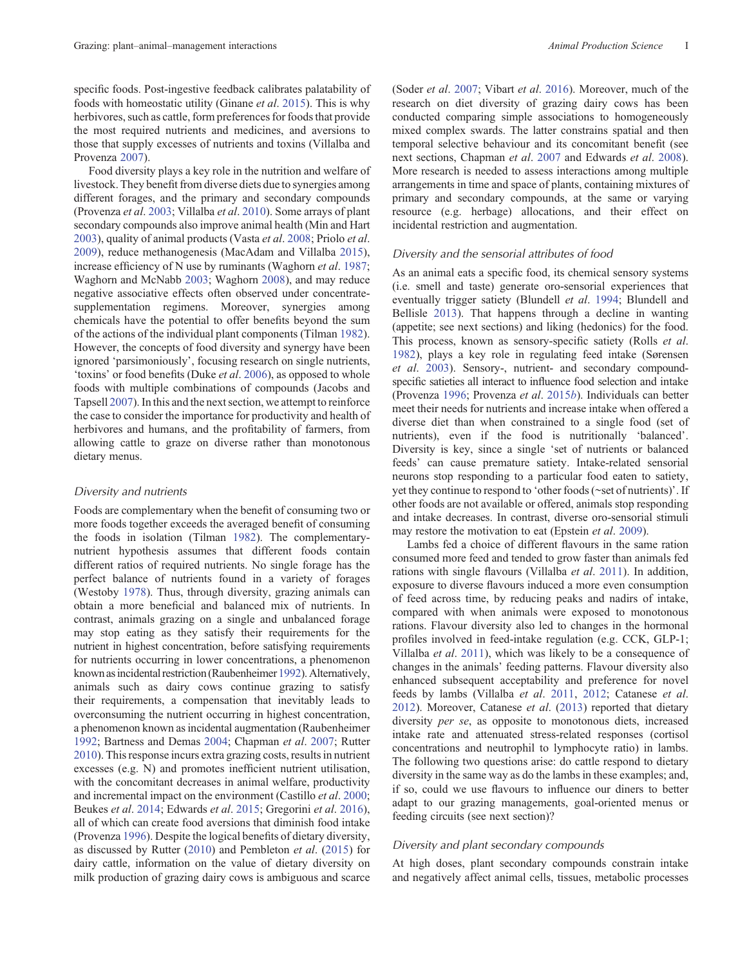specific foods. Post-ingestive feedback calibrates palatability of foods with homeostatic utility (Ginane et al. [2015\)](#page-16-0). This is why herbivores, such as cattle, form preferences for foods that provide the most required nutrients and medicines, and aversions to those that supply excesses of nutrients and toxins (Villalba and Provenza [2007\)](#page-20-0).

Food diversity plays a key role in the nutrition and welfare of livestock. They benefit from diverse diets due to synergies among different forages, and the primary and secondary compounds (Provenza et al. [2003;](#page-18-0) Villalba et al. [2010\)](#page-20-0). Some arrays of plant secondary compounds also improve animal health (Min and Hart [2003](#page-18-0)), quality of animal products (Vasta et al. [2008;](#page-20-0) Priolo et al. [2009](#page-18-0)), reduce methanogenesis (MacAdam and Villalba [2015](#page-17-0)), increase efficiency of N use by ruminants (Waghorn et al. [1987](#page-20-0); Waghorn and McNabb [2003](#page-20-0); Waghorn [2008](#page-20-0)), and may reduce negative associative effects often observed under concentratesupplementation regimens. Moreover, synergies among chemicals have the potential to offer benefits beyond the sum of the actions of the individual plant components (Tilman [1982](#page-19-0)). However, the concepts of food diversity and synergy have been ignored 'parsimoniously', focusing research on single nutrients, 'toxins' or food benefits (Duke et al. [2006\)](#page-15-0), as opposed to whole foods with multiple combinations of compounds (Jacobs and Tapsell [2007](#page-17-0)). In this and the next section, we attempt to reinforce the case to consider the importance for productivity and health of herbivores and humans, and the profitability of farmers, from allowing cattle to graze on diverse rather than monotonous dietary menus.

#### Diversity and nutrients

Foods are complementary when the benefit of consuming two or more foods together exceeds the averaged benefit of consuming the foods in isolation (Tilman [1982\)](#page-19-0). The complementarynutrient hypothesis assumes that different foods contain different ratios of required nutrients. No single forage has the perfect balance of nutrients found in a variety of forages (Westoby [1978](#page-20-0)). Thus, through diversity, grazing animals can obtain a more beneficial and balanced mix of nutrients. In contrast, animals grazing on a single and unbalanced forage may stop eating as they satisfy their requirements for the nutrient in highest concentration, before satisfying requirements for nutrients occurring in lower concentrations, a phenomenon known asincidental restriction (Raubenheimer [1992\)](#page-18-0). Alternatively, animals such as dairy cows continue grazing to satisfy their requirements, a compensation that inevitably leads to overconsuming the nutrient occurring in highest concentration, a phenomenon known as incidental augmentation (Raubenheimer [1992](#page-18-0); Bartness and Demas [2004;](#page-14-0) Chapman et al. [2007;](#page-15-0) Rutter [2010](#page-19-0)). This response incurs extra grazing costs, results in nutrient excesses (e.g. N) and promotes inefficient nutrient utilisation, with the concomitant decreases in animal welfare, productivity and incremental impact on the environment (Castillo et al. [2000](#page-14-0); Beukes et al. [2014;](#page-14-0) Edwards et al. [2015;](#page-15-0) Gregorini et al. [2016](#page-16-0)), all of which can create food aversions that diminish food intake (Provenza [1996](#page-18-0)). Despite the logical benefits of dietary diversity, as discussed by Rutter ([2010\)](#page-19-0) and Pembleton et al. ([2015\)](#page-18-0) for dairy cattle, information on the value of dietary diversity on milk production of grazing dairy cows is ambiguous and scarce

(Soder et al. [2007;](#page-19-0) Vibart et al. [2016](#page-20-0)). Moreover, much of the research on diet diversity of grazing dairy cows has been conducted comparing simple associations to homogeneously mixed complex swards. The latter constrains spatial and then temporal selective behaviour and its concomitant benefit (see next sections, Chapman et al. [2007](#page-15-0) and Edwards et al. [2008](#page-15-0)). More research is needed to assess interactions among multiple arrangements in time and space of plants, containing mixtures of primary and secondary compounds, at the same or varying resource (e.g. herbage) allocations, and their effect on incidental restriction and augmentation.

#### Diversity and the sensorial attributes of food

As an animal eats a specific food, its chemical sensory systems (i.e. smell and taste) generate oro-sensorial experiences that eventually trigger satiety (Blundell et al. [1994](#page-14-0); Blundell and Bellisle [2013](#page-14-0)). That happens through a decline in wanting (appetite; see next sections) and liking (hedonics) for the food. This process, known as sensory-specific satiety (Rolls *et al.*) [1982\)](#page-19-0), plays a key role in regulating feed intake (Sørensen et al. [2003\)](#page-19-0). Sensory-, nutrient- and secondary compoundspecific satieties all interact to influence food selection and intake (Provenza [1996](#page-18-0); Provenza et al. [2015](#page-18-0)b). Individuals can better meet their needs for nutrients and increase intake when offered a diverse diet than when constrained to a single food (set of nutrients), even if the food is nutritionally 'balanced'. Diversity is key, since a single 'set of nutrients or balanced feeds' can cause premature satiety. Intake-related sensorial neurons stop responding to a particular food eaten to satiety, yet they continue to respond to 'other foods (~set of nutrients)'. If other foods are not available or offered, animals stop responding and intake decreases. In contrast, diverse oro-sensorial stimuli may restore the motivation to eat (Epstein *et al.* [2009](#page-15-0)).

Lambs fed a choice of different flavours in the same ration consumed more feed and tended to grow faster than animals fed rations with single flavours (Villalba et al. [2011\)](#page-20-0). In addition, exposure to diverse flavours induced a more even consumption of feed across time, by reducing peaks and nadirs of intake, compared with when animals were exposed to monotonous rations. Flavour diversity also led to changes in the hormonal profiles involved in feed-intake regulation (e.g. CCK, GLP-1; Villalba et al. [2011](#page-20-0)), which was likely to be a consequence of changes in the animals' feeding patterns. Flavour diversity also enhanced subsequent acceptability and preference for novel feeds by lambs (Villalba et al. [2011,](#page-20-0) [2012](#page-20-0); Catanese et al. [2012\)](#page-14-0). Moreover, Catanese *et al.* ([2013\)](#page-14-0) reported that dietary diversity *per se*, as opposite to monotonous diets, increased intake rate and attenuated stress-related responses (cortisol concentrations and neutrophil to lymphocyte ratio) in lambs. The following two questions arise: do cattle respond to dietary diversity in the same way as do the lambs in these examples; and, if so, could we use flavours to influence our diners to better adapt to our grazing managements, goal-oriented menus or feeding circuits (see next section)?

## Diversity and plant secondary compounds

At high doses, plant secondary compounds constrain intake and negatively affect animal cells, tissues, metabolic processes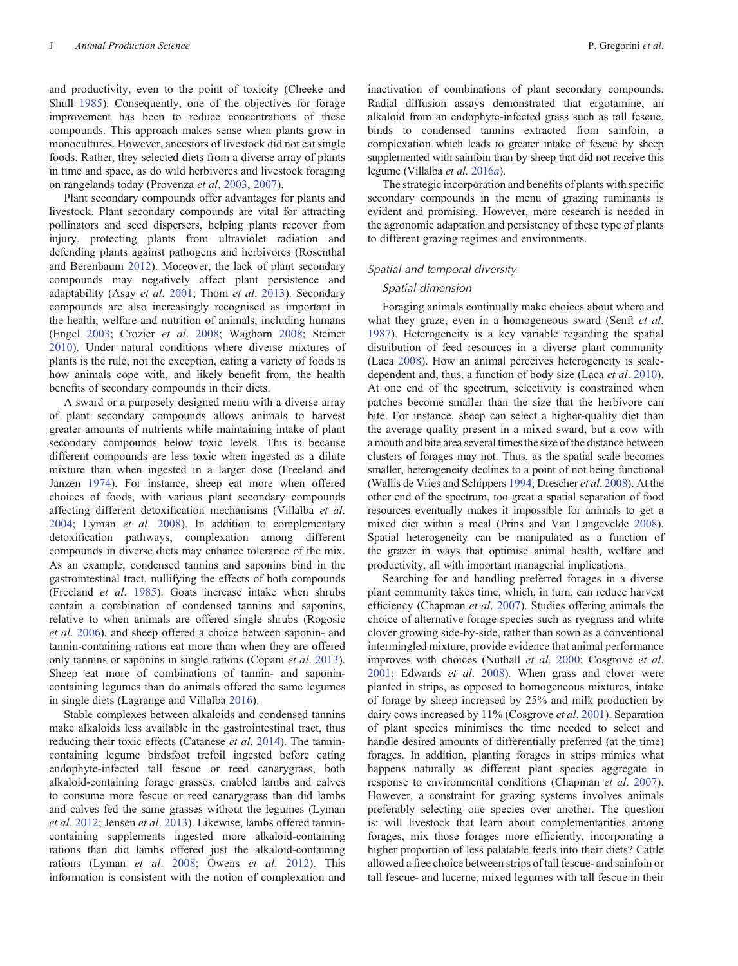and productivity, even to the point of toxicity (Cheeke and Shull [1985\)](#page-15-0). Consequently, one of the objectives for forage improvement has been to reduce concentrations of these compounds. This approach makes sense when plants grow in monocultures. However, ancestors of livestock did not eat single foods. Rather, they selected diets from a diverse array of plants in time and space, as do wild herbivores and livestock foraging on rangelands today (Provenza et al. [2003,](#page-18-0) [2007\)](#page-18-0).

Plant secondary compounds offer advantages for plants and livestock. Plant secondary compounds are vital for attracting pollinators and seed dispersers, helping plants recover from injury, protecting plants from ultraviolet radiation and defending plants against pathogens and herbivores (Rosenthal and Berenbaum [2012](#page-19-0)). Moreover, the lack of plant secondary compounds may negatively affect plant persistence and adaptability (Asay et al. [2001;](#page-14-0) Thom et al. [2013](#page-19-0)). Secondary compounds are also increasingly recognised as important in the health, welfare and nutrition of animals, including humans (Engel [2003;](#page-15-0) Crozier et al. [2008;](#page-15-0) Waghorn [2008](#page-20-0); Steiner [2010\)](#page-19-0). Under natural conditions where diverse mixtures of plants is the rule, not the exception, eating a variety of foods is how animals cope with, and likely benefit from, the health benefits of secondary compounds in their diets.

A sward or a purposely designed menu with a diverse array of plant secondary compounds allows animals to harvest greater amounts of nutrients while maintaining intake of plant secondary compounds below toxic levels. This is because different compounds are less toxic when ingested as a dilute mixture than when ingested in a larger dose (Freeland and Janzen [1974\)](#page-16-0). For instance, sheep eat more when offered choices of foods, with various plant secondary compounds affecting different detoxification mechanisms (Villalba et al. [2004;](#page-20-0) Lyman et al. [2008](#page-17-0)). In addition to complementary detoxification pathways, complexation among different compounds in diverse diets may enhance tolerance of the mix. As an example, condensed tannins and saponins bind in the gastrointestinal tract, nullifying the effects of both compounds (Freeland et al. [1985\)](#page-16-0). Goats increase intake when shrubs contain a combination of condensed tannins and saponins, relative to when animals are offered single shrubs (Rogosic et al. [2006](#page-19-0)), and sheep offered a choice between saponin- and tannin-containing rations eat more than when they are offered only tannins or saponins in single rations (Copani et al. [2013](#page-15-0)). Sheep eat more of combinations of tannin- and saponincontaining legumes than do animals offered the same legumes in single diets (Lagrange and Villalba [2016\)](#page-17-0).

Stable complexes between alkaloids and condensed tannins make alkaloids less available in the gastrointestinal tract, thus reducing their toxic effects (Catanese et al. [2014](#page-14-0)). The tannincontaining legume birdsfoot trefoil ingested before eating endophyte-infected tall fescue or reed canarygrass, both alkaloid-containing forage grasses, enabled lambs and calves to consume more fescue or reed canarygrass than did lambs and calves fed the same grasses without the legumes (Lyman et al. [2012](#page-17-0); Jensen et al. [2013\)](#page-17-0). Likewise, lambs offered tannincontaining supplements ingested more alkaloid-containing rations than did lambs offered just the alkaloid-containing rations (Lyman et al. [2008;](#page-17-0) Owens et al. [2012\)](#page-18-0). This information is consistent with the notion of complexation and

inactivation of combinations of plant secondary compounds. Radial diffusion assays demonstrated that ergotamine, an alkaloid from an endophyte-infected grass such as tall fescue, binds to condensed tannins extracted from sainfoin, a complexation which leads to greater intake of fescue by sheep supplemented with sainfoin than by sheep that did not receive this legume (Villalba et al. [2016](#page-20-0)a).

The strategic incorporation and benefits of plants with specific secondary compounds in the menu of grazing ruminants is evident and promising. However, more research is needed in the agronomic adaptation and persistency of these type of plants to different grazing regimes and environments.

#### Spatial and temporal diversity

# Spatial dimension

Foraging animals continually make choices about where and what they graze, even in a homogeneous sward (Senft et al. [1987\)](#page-19-0). Heterogeneity is a key variable regarding the spatial distribution of feed resources in a diverse plant community (Laca [2008](#page-17-0)). How an animal perceives heterogeneity is scaledependent and, thus, a function of body size (Laca *et al.* [2010](#page-17-0)). At one end of the spectrum, selectivity is constrained when patches become smaller than the size that the herbivore can bite. For instance, sheep can select a higher-quality diet than the average quality present in a mixed sward, but a cow with a mouth and bite area several times the size of the distance between clusters of forages may not. Thus, as the spatial scale becomes smaller, heterogeneity declines to a point of not being functional (Wallis de Vries and Schippers [1994;](#page-20-0) Drescher et al. [2008](#page-15-0)). At the other end of the spectrum, too great a spatial separation of food resources eventually makes it impossible for animals to get a mixed diet within a meal (Prins and Van Langevelde [2008](#page-18-0)). Spatial heterogeneity can be manipulated as a function of the grazer in ways that optimise animal health, welfare and productivity, all with important managerial implications.

Searching for and handling preferred forages in a diverse plant community takes time, which, in turn, can reduce harvest efficiency (Chapman et al. [2007](#page-15-0)). Studies offering animals the choice of alternative forage species such as ryegrass and white clover growing side-by-side, rather than sown as a conventional intermingled mixture, provide evidence that animal performance improves with choices (Nuthall *et al.* [2000](#page-18-0); Cosgrove *et al.* [2001;](#page-15-0) Edwards et al. [2008](#page-15-0)). When grass and clover were planted in strips, as opposed to homogeneous mixtures, intake of forage by sheep increased by 25% and milk production by dairy cows increased by 11% (Cosgrove et al. [2001](#page-15-0)). Separation of plant species minimises the time needed to select and handle desired amounts of differentially preferred (at the time) forages. In addition, planting forages in strips mimics what happens naturally as different plant species aggregate in response to environmental conditions (Chapman et al. [2007](#page-15-0)). However, a constraint for grazing systems involves animals preferably selecting one species over another. The question is: will livestock that learn about complementarities among forages, mix those forages more efficiently, incorporating a higher proportion of less palatable feeds into their diets? Cattle allowed a free choice between strips of tall fescue- and sainfoin or tall fescue- and lucerne, mixed legumes with tall fescue in their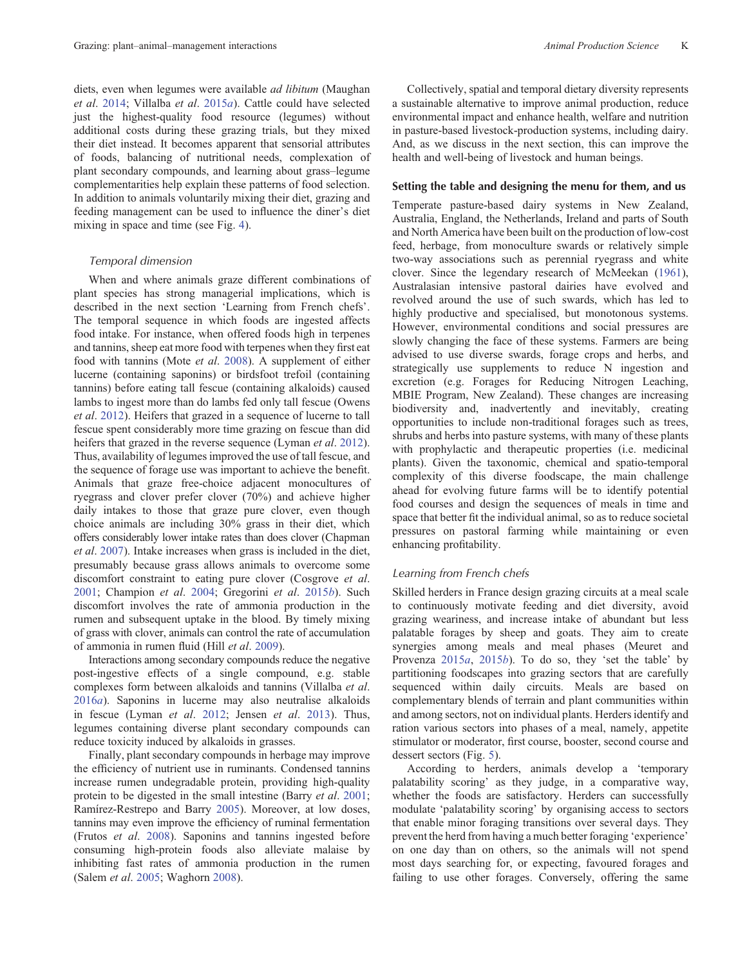diets, even when legumes were available *ad libitum* (Maughan et al. [2014;](#page-17-0) Villalba et al. [2015](#page-20-0)a). Cattle could have selected just the highest-quality food resource (legumes) without additional costs during these grazing trials, but they mixed their diet instead. It becomes apparent that sensorial attributes of foods, balancing of nutritional needs, complexation of plant secondary compounds, and learning about grass–legume complementarities help explain these patterns of food selection. In addition to animals voluntarily mixing their diet, grazing and feeding management can be used to influence the diner's diet mixing in space and time (see Fig. [4\)](#page-7-0).

#### Temporal dimension

When and where animals graze different combinations of plant species has strong managerial implications, which is described in the next section 'Learning from French chefs'. The temporal sequence in which foods are ingested affects food intake. For instance, when offered foods high in terpenes and tannins, sheep eat more food with terpenes when they first eat food with tannins (Mote et al. [2008\)](#page-18-0). A supplement of either lucerne (containing saponins) or birdsfoot trefoil (containing tannins) before eating tall fescue (containing alkaloids) caused lambs to ingest more than do lambs fed only tall fescue (Owens et al. [2012](#page-18-0)). Heifers that grazed in a sequence of lucerne to tall fescue spent considerably more time grazing on fescue than did heifers that grazed in the reverse sequence (Lyman *et al.* [2012](#page-17-0)). Thus, availability of legumes improved the use of tall fescue, and the sequence of forage use was important to achieve the benefit. Animals that graze free-choice adjacent monocultures of ryegrass and clover prefer clover (70%) and achieve higher daily intakes to those that graze pure clover, even though choice animals are including 30% grass in their diet, which offers considerably lower intake rates than does clover (Chapman et al. [2007\)](#page-15-0). Intake increases when grass is included in the diet, presumably because grass allows animals to overcome some discomfort constraint to eating pure clover (Cosgrove et al. [2001](#page-15-0); Champion et al. [2004](#page-15-0); Gregorini et al. [2015](#page-16-0)b). Such discomfort involves the rate of ammonia production in the rumen and subsequent uptake in the blood. By timely mixing of grass with clover, animals can control the rate of accumulation of ammonia in rumen fluid (Hill et al. [2009\)](#page-17-0).

Interactions among secondary compounds reduce the negative post-ingestive effects of a single compound, e.g. stable complexes form between alkaloids and tannins (Villalba et al. [2016](#page-20-0)a). Saponins in lucerne may also neutralise alkaloids in fescue (Lyman et al. [2012](#page-17-0); Jensen et al. [2013\)](#page-17-0). Thus, legumes containing diverse plant secondary compounds can reduce toxicity induced by alkaloids in grasses.

Finally, plant secondary compounds in herbage may improve the efficiency of nutrient use in ruminants. Condensed tannins increase rumen undegradable protein, providing high-quality protein to be digested in the small intestine (Barry et al. [2001](#page-14-0); Ramírez-Restrepo and Barry [2005\)](#page-18-0). Moreover, at low doses, tannins may even improve the efficiency of ruminal fermentation (Frutos et al. [2008](#page-16-0)). Saponins and tannins ingested before consuming high-protein foods also alleviate malaise by inhibiting fast rates of ammonia production in the rumen (Salem et al. [2005](#page-19-0); Waghorn [2008\)](#page-20-0).

Collectively, spatial and temporal dietary diversity represents a sustainable alternative to improve animal production, reduce environmental impact and enhance health, welfare and nutrition in pasture-based livestock-production systems, including dairy. And, as we discuss in the next section, this can improve the health and well-being of livestock and human beings.

## Setting the table and designing the menu for them, and us

Temperate pasture-based dairy systems in New Zealand, Australia, England, the Netherlands, Ireland and parts of South and North America have been built on the production of low-cost feed, herbage, from monoculture swards or relatively simple two-way associations such as perennial ryegrass and white clover. Since the legendary research of McMeekan [\(1961](#page-18-0)), Australasian intensive pastoral dairies have evolved and revolved around the use of such swards, which has led to highly productive and specialised, but monotonous systems. However, environmental conditions and social pressures are slowly changing the face of these systems. Farmers are being advised to use diverse swards, forage crops and herbs, and strategically use supplements to reduce N ingestion and excretion (e.g. Forages for Reducing Nitrogen Leaching, MBIE Program, New Zealand). These changes are increasing biodiversity and, inadvertently and inevitably, creating opportunities to include non-traditional forages such as trees, shrubs and herbs into pasture systems, with many of these plants with prophylactic and therapeutic properties (i.e. medicinal plants). Given the taxonomic, chemical and spatio-temporal complexity of this diverse foodscape, the main challenge ahead for evolving future farms will be to identify potential food courses and design the sequences of meals in time and space that better fit the individual animal, so as to reduce societal pressures on pastoral farming while maintaining or even enhancing profitability.

## Learning from French chefs

Skilled herders in France design grazing circuits at a meal scale to continuously motivate feeding and diet diversity, avoid grazing weariness, and increase intake of abundant but less palatable forages by sheep and goats. They aim to create synergies among meals and meal phases (Meuret and Provenza [2015](#page-18-0)a, 2015b). To do so, they 'set the table' by partitioning foodscapes into grazing sectors that are carefully sequenced within daily circuits. Meals are based on complementary blends of terrain and plant communities within and among sectors, not on individual plants. Herders identify and ration various sectors into phases of a meal, namely, appetite stimulator or moderator, first course, booster, second course and dessert sectors (Fig. [5](#page-7-0)).

According to herders, animals develop a 'temporary palatability scoring' as they judge, in a comparative way, whether the foods are satisfactory. Herders can successfully modulate 'palatability scoring' by organising access to sectors that enable minor foraging transitions over several days. They prevent the herd from having a much better foraging 'experience' on one day than on others, so the animals will not spend most days searching for, or expecting, favoured forages and failing to use other forages. Conversely, offering the same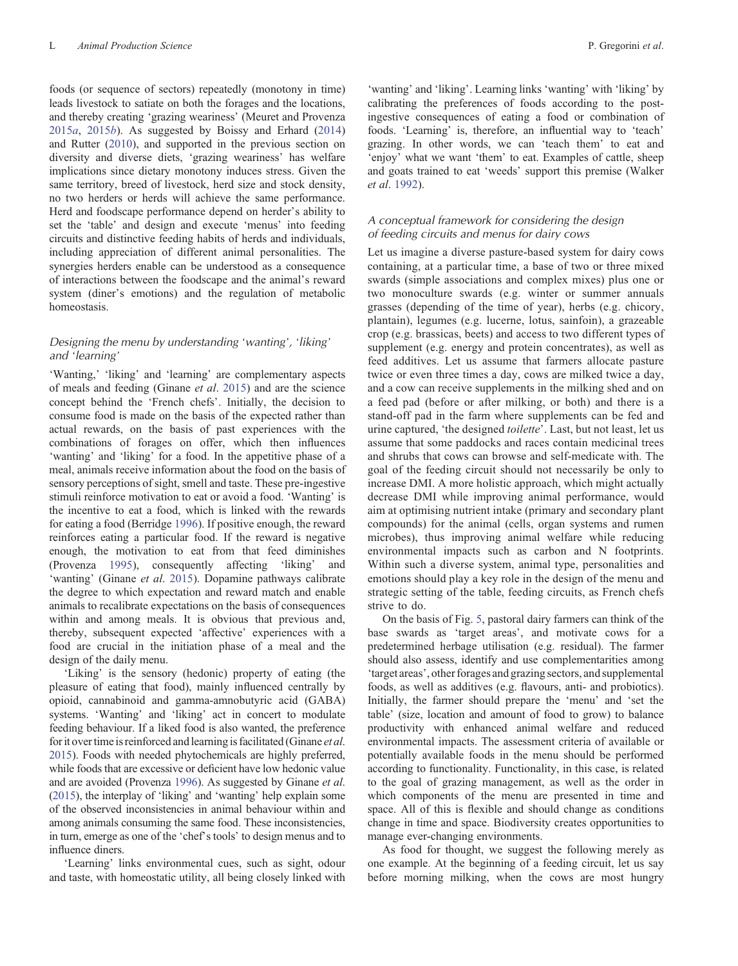foods (or sequence of sectors) repeatedly (monotony in time) leads livestock to satiate on both the forages and the locations, and thereby creating 'grazing weariness' (Meuret and Provenza  $2015a$  $2015a$ ,  $2015b$ ). As suggested by Boissy and Erhard ([2014\)](#page-14-0) and Rutter ([2010\)](#page-19-0), and supported in the previous section on diversity and diverse diets, 'grazing weariness' has welfare implications since dietary monotony induces stress. Given the same territory, breed of livestock, herd size and stock density, no two herders or herds will achieve the same performance. Herd and foodscape performance depend on herder's ability to set the 'table' and design and execute 'menus' into feeding circuits and distinctive feeding habits of herds and individuals, including appreciation of different animal personalities. The synergies herders enable can be understood as a consequence of interactions between the foodscape and the animal's reward system (diner's emotions) and the regulation of metabolic homeostasis.

# Designing the menu by understanding 'wanting', 'liking' and 'learning'

'Wanting,' 'liking' and 'learning' are complementary aspects of meals and feeding (Ginane et al. [2015\)](#page-16-0) and are the science concept behind the 'French chefs'. Initially, the decision to consume food is made on the basis of the expected rather than actual rewards, on the basis of past experiences with the combinations of forages on offer, which then influences 'wanting' and 'liking' for a food. In the appetitive phase of a meal, animals receive information about the food on the basis of sensory perceptions of sight, smell and taste. These pre-ingestive stimuli reinforce motivation to eat or avoid a food. 'Wanting' is the incentive to eat a food, which is linked with the rewards for eating a food (Berridge [1996\)](#page-14-0). If positive enough, the reward reinforces eating a particular food. If the reward is negative enough, the motivation to eat from that feed diminishes (Provenza [1995\)](#page-18-0), consequently affecting 'liking' and 'wanting' (Ginane et al. [2015\)](#page-16-0). Dopamine pathways calibrate the degree to which expectation and reward match and enable animals to recalibrate expectations on the basis of consequences within and among meals. It is obvious that previous and, thereby, subsequent expected 'affective' experiences with a food are crucial in the initiation phase of a meal and the design of the daily menu.

'Liking' is the sensory (hedonic) property of eating (the pleasure of eating that food), mainly influenced centrally by opioid, cannabinoid and gamma-amnobutyric acid (GABA) systems. 'Wanting' and 'liking' act in concert to modulate feeding behaviour. If a liked food is also wanted, the preference for it over time is reinforced and learning is facilitated (Ginane et al. [2015](#page-16-0)). Foods with needed phytochemicals are highly preferred, while foods that are excessive or deficient have low hedonic value and are avoided (Provenza [1996](#page-18-0)). As suggested by Ginane et al. ([2015](#page-16-0)), the interplay of 'liking' and 'wanting' help explain some of the observed inconsistencies in animal behaviour within and among animals consuming the same food. These inconsistencies, in turn, emerge as one of the 'chef's tools' to design menus and to influence diners.

'Learning' links environmental cues, such as sight, odour and taste, with homeostatic utility, all being closely linked with

'wanting' and 'liking'. Learning links 'wanting' with 'liking' by calibrating the preferences of foods according to the postingestive consequences of eating a food or combination of foods. 'Learning' is, therefore, an influential way to 'teach' grazing. In other words, we can 'teach them' to eat and 'enjoy' what we want 'them' to eat. Examples of cattle, sheep and goats trained to eat 'weeds' support this premise (Walker et al. [1992](#page-20-0)).

# A conceptual framework for considering the design of feeding circuits and menus for dairy cows

Let us imagine a diverse pasture-based system for dairy cows containing, at a particular time, a base of two or three mixed swards (simple associations and complex mixes) plus one or two monoculture swards (e.g. winter or summer annuals grasses (depending of the time of year), herbs (e.g. chicory, plantain), legumes (e.g. lucerne, lotus, sainfoin), a grazeable crop (e.g. brassicas, beets) and access to two different types of supplement (e.g. energy and protein concentrates), as well as feed additives. Let us assume that farmers allocate pasture twice or even three times a day, cows are milked twice a day, and a cow can receive supplements in the milking shed and on a feed pad (before or after milking, or both) and there is a stand-off pad in the farm where supplements can be fed and urine captured, 'the designed toilette'. Last, but not least, let us assume that some paddocks and races contain medicinal trees and shrubs that cows can browse and self-medicate with. The goal of the feeding circuit should not necessarily be only to increase DMI. A more holistic approach, which might actually decrease DMI while improving animal performance, would aim at optimising nutrient intake (primary and secondary plant compounds) for the animal (cells, organ systems and rumen microbes), thus improving animal welfare while reducing environmental impacts such as carbon and N footprints. Within such a diverse system, animal type, personalities and emotions should play a key role in the design of the menu and strategic setting of the table, feeding circuits, as French chefs strive to do.

On the basis of Fig. [5,](#page-7-0) pastoral dairy farmers can think of the base swards as 'target areas', and motivate cows for a predetermined herbage utilisation (e.g. residual). The farmer should also assess, identify and use complementarities among 'target areas', other forages and grazing sectors, and supplemental foods, as well as additives (e.g. flavours, anti- and probiotics). Initially, the farmer should prepare the 'menu' and 'set the table' (size, location and amount of food to grow) to balance productivity with enhanced animal welfare and reduced environmental impacts. The assessment criteria of available or potentially available foods in the menu should be performed according to functionality. Functionality, in this case, is related to the goal of grazing management, as well as the order in which components of the menu are presented in time and space. All of this is flexible and should change as conditions change in time and space. Biodiversity creates opportunities to manage ever-changing environments.

As food for thought, we suggest the following merely as one example. At the beginning of a feeding circuit, let us say before morning milking, when the cows are most hungry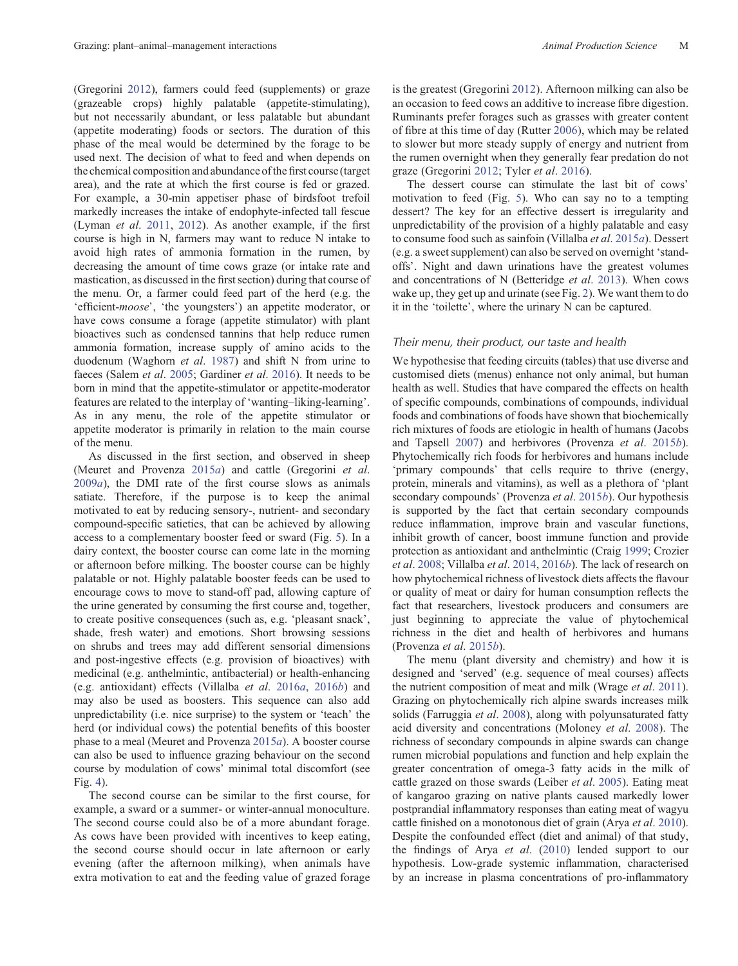(Gregorini [2012](#page-16-0)), farmers could feed (supplements) or graze (grazeable crops) highly palatable (appetite-stimulating), but not necessarily abundant, or less palatable but abundant (appetite moderating) foods or sectors. The duration of this phase of the meal would be determined by the forage to be used next. The decision of what to feed and when depends on the chemical composition and abundance of the first course (target area), and the rate at which the first course is fed or grazed. For example, a 30-min appetiser phase of birdsfoot trefoil markedly increases the intake of endophyte-infected tall fescue (Lyman et al. [2011](#page-17-0), [2012](#page-17-0)). As another example, if the first course is high in N, farmers may want to reduce N intake to avoid high rates of ammonia formation in the rumen, by decreasing the amount of time cows graze (or intake rate and mastication, as discussed in the first section) during that course of the menu. Or, a farmer could feed part of the herd (e.g. the 'efficient-moose', 'the youngsters') an appetite moderator, or have cows consume a forage (appetite stimulator) with plant bioactives such as condensed tannins that help reduce rumen ammonia formation, increase supply of amino acids to the duodenum (Waghorn et al. [1987](#page-20-0)) and shift N from urine to faeces (Salem et al. [2005;](#page-19-0) Gardiner et al. [2016\)](#page-16-0). It needs to be born in mind that the appetite-stimulator or appetite-moderator features are related to the interplay of 'wanting–liking-learning'. As in any menu, the role of the appetite stimulator or appetite moderator is primarily in relation to the main course of the menu.

As discussed in the first section, and observed in sheep (Meuret and Provenza [2015](#page-18-0)a) and cattle (Gregorini et al.  $2009a$  $2009a$ , the DMI rate of the first course slows as animals satiate. Therefore, if the purpose is to keep the animal motivated to eat by reducing sensory-, nutrient- and secondary compound-specific satieties, that can be achieved by allowing access to a complementary booster feed or sward (Fig. [5\)](#page-7-0). In a dairy context, the booster course can come late in the morning or afternoon before milking. The booster course can be highly palatable or not. Highly palatable booster feeds can be used to encourage cows to move to stand-off pad, allowing capture of the urine generated by consuming the first course and, together, to create positive consequences (such as, e.g. 'pleasant snack', shade, fresh water) and emotions. Short browsing sessions on shrubs and trees may add different sensorial dimensions and post-ingestive effects (e.g. provision of bioactives) with medicinal (e.g. anthelmintic, antibacterial) or health-enhancing (e.g. antioxidant) effects (Villalba et al. [2016](#page-20-0)a, [2016](#page-20-0)b) and may also be used as boosters. This sequence can also add unpredictability (i.e. nice surprise) to the system or 'teach' the herd (or individual cows) the potential benefits of this booster phase to a meal (Meuret and Provenza [2015](#page-18-0)a). A booster course can also be used to influence grazing behaviour on the second course by modulation of cows' minimal total discomfort (see Fig. [4\)](#page-7-0).

The second course can be similar to the first course, for example, a sward or a summer- or winter-annual monoculture. The second course could also be of a more abundant forage. As cows have been provided with incentives to keep eating, the second course should occur in late afternoon or early evening (after the afternoon milking), when animals have extra motivation to eat and the feeding value of grazed forage is the greatest (Gregorini [2012\)](#page-16-0). Afternoon milking can also be an occasion to feed cows an additive to increase fibre digestion. Ruminants prefer forages such as grasses with greater content of fibre at this time of day (Rutter [2006](#page-19-0)), which may be related to slower but more steady supply of energy and nutrient from the rumen overnight when they generally fear predation do not graze (Gregorini [2012](#page-16-0); Tyler et al. [2016](#page-19-0)).

The dessert course can stimulate the last bit of cows' motivation to feed (Fig. [5](#page-7-0)). Who can say no to a tempting dessert? The key for an effective dessert is irregularity and unpredictability of the provision of a highly palatable and easy to consume food such as sainfoin (Villalba et al. [2015](#page-20-0)a). Dessert (e.g. a sweet supplement) can also be served on overnight 'standoffs'. Night and dawn urinations have the greatest volumes and concentrations of N (Betteridge et al. [2013](#page-14-0)). When cows wake up, they get up and urinate (see Fig. [2\)](#page-3-0). We want them to do it in the 'toilette', where the urinary N can be captured.

#### Their menu, their product, our taste and health

We hypothesise that feeding circuits (tables) that use diverse and customised diets (menus) enhance not only animal, but human health as well. Studies that have compared the effects on health of specific compounds, combinations of compounds, individual foods and combinations of foods have shown that biochemically rich mixtures of foods are etiologic in health of humans (Jacobs and Tapsell [2007](#page-17-0)) and herbivores (Provenza et al. [2015](#page-18-0)b). Phytochemically rich foods for herbivores and humans include 'primary compounds' that cells require to thrive (energy, protein, minerals and vitamins), as well as a plethora of 'plant secondary compounds' (Provenza et al. [2015](#page-18-0)b). Our hypothesis is supported by the fact that certain secondary compounds reduce inflammation, improve brain and vascular functions, inhibit growth of cancer, boost immune function and provide protection as antioxidant and anthelmintic (Craig [1999;](#page-15-0) Crozier et al. [2008](#page-15-0); Villalba et al. [2014,](#page-20-0) [2016](#page-20-0)b). The lack of research on how phytochemical richness of livestock diets affects the flavour or quality of meat or dairy for human consumption reflects the fact that researchers, livestock producers and consumers are just beginning to appreciate the value of phytochemical richness in the diet and health of herbivores and humans (Provenza et al. [2015](#page-18-0)b).

The menu (plant diversity and chemistry) and how it is designed and 'served' (e.g. sequence of meal courses) affects the nutrient composition of meat and milk (Wrage et al. [2011](#page-20-0)). Grazing on phytochemically rich alpine swards increases milk solids (Farruggia *et al.* [2008](#page-15-0)), along with polyunsaturated fatty acid diversity and concentrations (Moloney et al. [2008\)](#page-18-0). The richness of secondary compounds in alpine swards can change rumen microbial populations and function and help explain the greater concentration of omega-3 fatty acids in the milk of cattle grazed on those swards (Leiber et al. [2005](#page-17-0)). Eating meat of kangaroo grazing on native plants caused markedly lower postprandial inflammatory responses than eating meat of wagyu cattle finished on a monotonous diet of grain (Arya et al. [2010](#page-14-0)). Despite the confounded effect (diet and animal) of that study, the findings of Arya et al. [\(2010](#page-14-0)) lended support to our hypothesis. Low-grade systemic inflammation, characterised by an increase in plasma concentrations of pro-inflammatory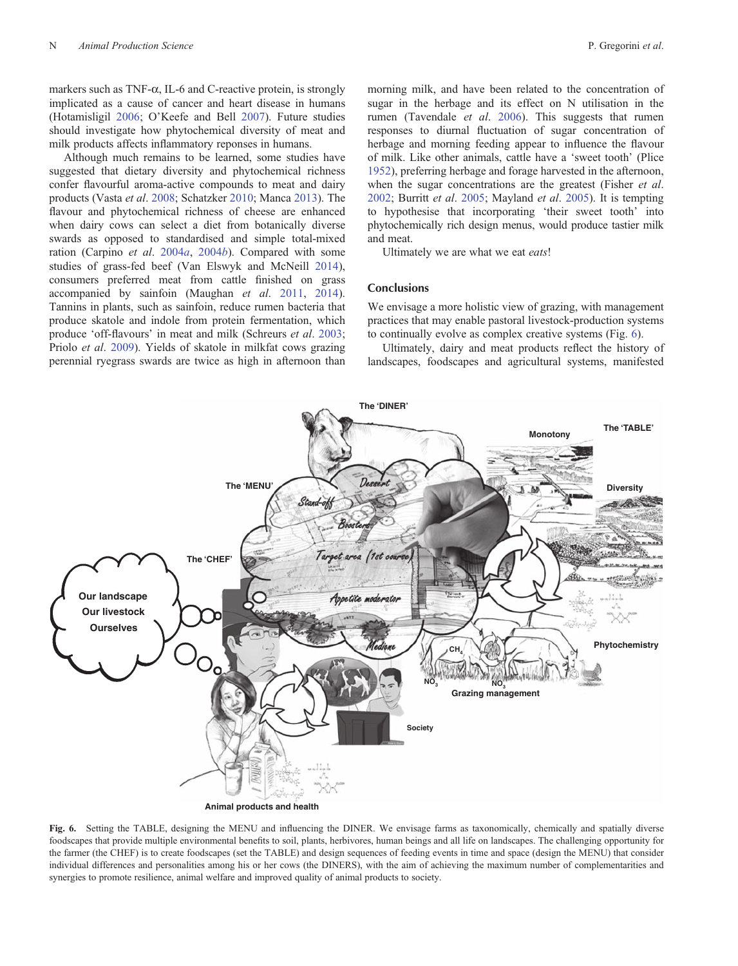markers such as  $TNF-\alpha$ , IL-6 and C-reactive protein, is strongly implicated as a cause of cancer and heart disease in humans (Hotamisligil [2006;](#page-17-0) O'Keefe and Bell [2007\)](#page-18-0). Future studies should investigate how phytochemical diversity of meat and milk products affects inflammatory reponses in humans.

Although much remains to be learned, some studies have suggested that dietary diversity and phytochemical richness confer flavourful aroma-active compounds to meat and dairy products (Vasta et al. [2008](#page-20-0); Schatzker [2010](#page-19-0); Manca [2013](#page-17-0)). The flavour and phytochemical richness of cheese are enhanced when dairy cows can select a diet from botanically diverse swards as opposed to standardised and simple total-mixed ration (Carpino et al. [2004](#page-14-0)a, [2004](#page-14-0)b). Compared with some studies of grass-fed beef (Van Elswyk and McNeill [2014](#page-20-0)), consumers preferred meat from cattle finished on grass accompanied by sainfoin (Maughan et al. [2011,](#page-17-0) [2014](#page-17-0)). Tannins in plants, such as sainfoin, reduce rumen bacteria that produce skatole and indole from protein fermentation, which produce 'off-flavours' in meat and milk (Schreurs et al. [2003](#page-19-0); Priolo et al. [2009](#page-18-0)). Yields of skatole in milkfat cows grazing perennial ryegrass swards are twice as high in afternoon than

morning milk, and have been related to the concentration of sugar in the herbage and its effect on N utilisation in the rumen (Tavendale et al. [2006\)](#page-19-0). This suggests that rumen responses to diurnal fluctuation of sugar concentration of herbage and morning feeding appear to influence the flavour of milk. Like other animals, cattle have a 'sweet tooth' (Plice [1952\)](#page-18-0), preferring herbage and forage harvested in the afternoon, when the sugar concentrations are the greatest (Fisher *et al.*) [2002;](#page-16-0) Burritt et al. [2005](#page-14-0); Mayland et al. [2005](#page-18-0)). It is tempting to hypothesise that incorporating 'their sweet tooth' into phytochemically rich design menus, would produce tastier milk and meat.

Ultimately we are what we eat eats!

## **Conclusions**

We envisage a more holistic view of grazing, with management practices that may enable pastoral livestock-production systems to continually evolve as complex creative systems (Fig. 6).

Ultimately, dairy and meat products reflect the history of landscapes, foodscapes and agricultural systems, manifested



Fig. 6. Setting the TABLE, designing the MENU and influencing the DINER. We envisage farms as taxonomically, chemically and spatially diverse foodscapes that provide multiple environmental benefits to soil, plants, herbivores, human beings and all life on landscapes. The challenging opportunity for the farmer (the CHEF) is to create foodscapes (set the TABLE) and design sequences of feeding events in time and space (design the MENU) that consider individual differences and personalities among his or her cows (the DINERS), with the aim of achieving the maximum number of complementarities and synergies to promote resilience, animal welfare and improved quality of animal products to society.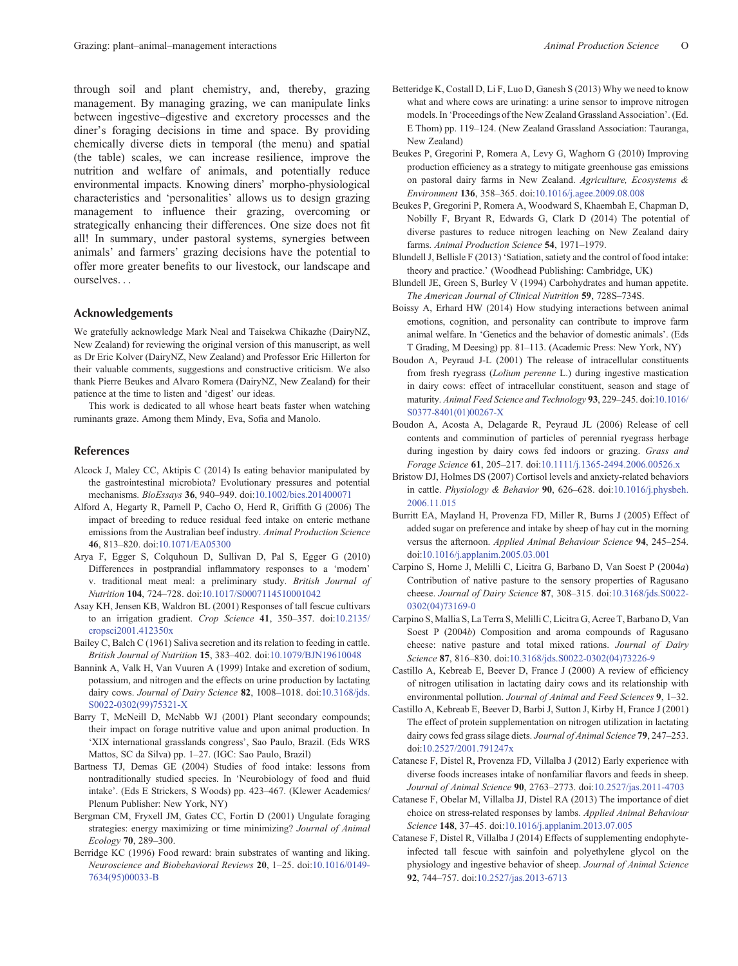<span id="page-14-0"></span>through soil and plant chemistry, and, thereby, grazing management. By managing grazing, we can manipulate links between ingestive–digestive and excretory processes and the diner's foraging decisions in time and space. By providing chemically diverse diets in temporal (the menu) and spatial (the table) scales, we can increase resilience, improve the nutrition and welfare of animals, and potentially reduce environmental impacts. Knowing diners' morpho-physiological characteristics and 'personalities' allows us to design grazing management to influence their grazing, overcoming or strategically enhancing their differences. One size does not fit all! In summary, under pastoral systems, synergies between animals' and farmers' grazing decisions have the potential to offer more greater benefits to our livestock, our landscape and ourselves...

## Acknowledgements

We gratefully acknowledge Mark Neal and Taisekwa Chikazhe (DairyNZ, New Zealand) for reviewing the original version of this manuscript, as well as Dr Eric Kolver (DairyNZ, New Zealand) and Professor Eric Hillerton for their valuable comments, suggestions and constructive criticism. We also thank Pierre Beukes and Alvaro Romera (DairyNZ, New Zealand) for their patience at the time to listen and 'digest' our ideas.

This work is dedicated to all whose heart beats faster when watching ruminants graze. Among them Mindy, Eva, Sofia and Manolo.

#### References

- Alcock J, Maley CC, Aktipis C (2014) Is eating behavior manipulated by the gastrointestinal microbiota? Evolutionary pressures and potential mechanisms. BioEssays 36, 940–949. doi:[10.1002/bies.201400071](dx.doi.org/10.1002/bies.201400071)
- Alford A, Hegarty R, Parnell P, Cacho O, Herd R, Griffith G (2006) The impact of breeding to reduce residual feed intake on enteric methane emissions from the Australian beef industry. Animal Production Science 46, 813–820. doi:[10.1071/EA05300](dx.doi.org/10.1071/EA05300)
- Arya F, Egger S, Colquhoun D, Sullivan D, Pal S, Egger G (2010) Differences in postprandial inflammatory responses to a 'modern' v. traditional meat meal: a preliminary study. British Journal of Nutrition 104, 724–728. doi[:10.1017/S0007114510001042](dx.doi.org/10.1017/S0007114510001042)
- Asay KH, Jensen KB, Waldron BL (2001) Responses of tall fescue cultivars to an irrigation gradient. Crop Science 41, 350–357. doi:[10.2135/](dx.doi.org/10.2135/cropsci2001.412350x) [cropsci2001.412350x](dx.doi.org/10.2135/cropsci2001.412350x)
- Bailey C, Balch C (1961) Saliva secretion and its relation to feeding in cattle. British Journal of Nutrition 15, 383–402. doi:[10.1079/BJN19610048](dx.doi.org/10.1079/BJN19610048)
- Bannink A, Valk H, Van Vuuren A (1999) Intake and excretion of sodium, potassium, and nitrogen and the effects on urine production by lactating dairy cows. Journal of Dairy Science 82, 1008-1018. doi[:10.3168/jds.](dx.doi.org/10.3168/jds.S0022-0302(99)75321-X) [S0022-0302\(99\)75321-X](dx.doi.org/10.3168/jds.S0022-0302(99)75321-X)
- Barry T, McNeill D, McNabb WJ (2001) Plant secondary compounds; their impact on forage nutritive value and upon animal production. In 'XIX international grasslands congress', Sao Paulo, Brazil. (Eds WRS Mattos, SC da Silva) pp. 1–27. (IGC: Sao Paulo, Brazil)
- Bartness TJ, Demas GE (2004) Studies of food intake: lessons from nontraditionally studied species. In 'Neurobiology of food and fluid intake'. (Eds E Strickers, S Woods) pp. 423–467. (Klewer Academics/ Plenum Publisher: New York, NY)
- Bergman CM, Fryxell JM, Gates CC, Fortin D (2001) Ungulate foraging strategies: energy maximizing or time minimizing? Journal of Animal Ecology 70, 289–300.
- Berridge KC (1996) Food reward: brain substrates of wanting and liking. Neuroscience and Biobehavioral Reviews 20, 1–25. doi[:10.1016/0149-](dx.doi.org/10.1016/0149-7634(95)00033-B) [7634\(95\)00033-B](dx.doi.org/10.1016/0149-7634(95)00033-B)
- Betteridge K, Costall D, Li F, Luo D, Ganesh S (2013) Why we need to know what and where cows are urinating: a urine sensor to improve nitrogen models. In 'Proceedings of the New Zealand Grassland Association'. (Ed. E Thom) pp. 119–124. (New Zealand Grassland Association: Tauranga, New Zealand)
- Beukes P, Gregorini P, Romera A, Levy G, Waghorn G (2010) Improving production efficiency as a strategy to mitigate greenhouse gas emissions on pastoral dairy farms in New Zealand. Agriculture, Ecosystems & Environment 136, 358–365. doi:[10.1016/j.agee.2009.08.008](dx.doi.org/10.1016/j.agee.2009.08.008)
- Beukes P, Gregorini P, Romera A, Woodward S, Khaembah E, Chapman D, Nobilly F, Bryant R, Edwards G, Clark D (2014) The potential of diverse pastures to reduce nitrogen leaching on New Zealand dairy farms. Animal Production Science 54, 1971–1979.
- Blundell J, Bellisle F (2013) 'Satiation, satiety and the control of food intake: theory and practice.' (Woodhead Publishing: Cambridge, UK)
- Blundell JE, Green S, Burley V (1994) Carbohydrates and human appetite. The American Journal of Clinical Nutrition 59, 728S–734S.
- Boissy A, Erhard HW (2014) How studying interactions between animal emotions, cognition, and personality can contribute to improve farm animal welfare. In 'Genetics and the behavior of domestic animals'. (Eds T Grading, M Deesing) pp. 81–113. (Academic Press: New York, NY)
- Boudon A, Peyraud J-L (2001) The release of intracellular constituents from fresh ryegrass (Lolium perenne L.) during ingestive mastication in dairy cows: effect of intracellular constituent, season and stage of maturity. Animal Feed Science and Technology 93, 229–245. doi[:10.1016/](dx.doi.org/10.1016/S0377-8401(01)00267-X) [S0377-8401\(01\)00267-X](dx.doi.org/10.1016/S0377-8401(01)00267-X)
- Boudon A, Acosta A, Delagarde R, Peyraud JL (2006) Release of cell contents and comminution of particles of perennial ryegrass herbage during ingestion by dairy cows fed indoors or grazing. Grass and Forage Science 61, 205–217. doi:[10.1111/j.1365-2494.2006.00526.x](dx.doi.org/10.1111/j.1365-2494.2006.00526.x)
- Bristow DJ, Holmes DS (2007) Cortisol levels and anxiety-related behaviors in cattle. Physiology & Behavior 90, 626–628. doi[:10.1016/j.physbeh.](dx.doi.org/10.1016/j.physbeh.2006.11.015) [2006.11.015](dx.doi.org/10.1016/j.physbeh.2006.11.015)
- Burritt EA, Mayland H, Provenza FD, Miller R, Burns J (2005) Effect of added sugar on preference and intake by sheep of hay cut in the morning versus the afternoon. Applied Animal Behaviour Science 94, 245–254. doi:[10.1016/j.applanim.2005.03.001](dx.doi.org/10.1016/j.applanim.2005.03.001)
- Carpino S, Horne J, Melilli C, Licitra G, Barbano D, Van Soest P (2004a) Contribution of native pasture to the sensory properties of Ragusano cheese. Journal of Dairy Science 87, 308–315. doi:[10.3168/jds.S0022-](dx.doi.org/10.3168/jds.S0022-0302(04)73169-0) [0302\(04\)73169-0](dx.doi.org/10.3168/jds.S0022-0302(04)73169-0)
- Carpino S, Mallia S, La Terra S, Melilli C, Licitra G, Acree T, Barbano D, Van Soest P (2004b) Composition and aroma compounds of Ragusano cheese: native pasture and total mixed rations. Journal of Dairy Science 87, 816–830. doi[:10.3168/jds.S0022-0302\(04\)73226-9](dx.doi.org/10.3168/jds.S0022-0302(04)73226-9)
- Castillo A, Kebreab E, Beever D, France J (2000) A review of efficiency of nitrogen utilisation in lactating dairy cows and its relationship with environmental pollution. Journal of Animal and Feed Sciences 9, 1–32.
- Castillo A, Kebreab E, Beever D, Barbi J, Sutton J, Kirby H, France J (2001) The effect of protein supplementation on nitrogen utilization in lactating dairy cows fed grass silage diets. Journal of Animal Science 79, 247-253. doi:[10.2527/2001.791247x](dx.doi.org/10.2527/2001.791247x)
- Catanese F, Distel R, Provenza FD, Villalba J (2012) Early experience with diverse foods increases intake of nonfamiliar flavors and feeds in sheep. Journal of Animal Science 90, 2763–2773. doi[:10.2527/jas.2011-4703](dx.doi.org/10.2527/jas.2011-4703)
- Catanese F, Obelar M, Villalba JJ, Distel RA (2013) The importance of diet choice on stress-related responses by lambs. Applied Animal Behaviour Science 148, 37–45. doi[:10.1016/j.applanim.2013.07.005](dx.doi.org/10.1016/j.applanim.2013.07.005)
- Catanese F, Distel R, Villalba J (2014) Effects of supplementing endophyteinfected tall fescue with sainfoin and polyethylene glycol on the physiology and ingestive behavior of sheep. Journal of Animal Science 92, 744–757. doi:[10.2527/jas.2013-6713](dx.doi.org/10.2527/jas.2013-6713)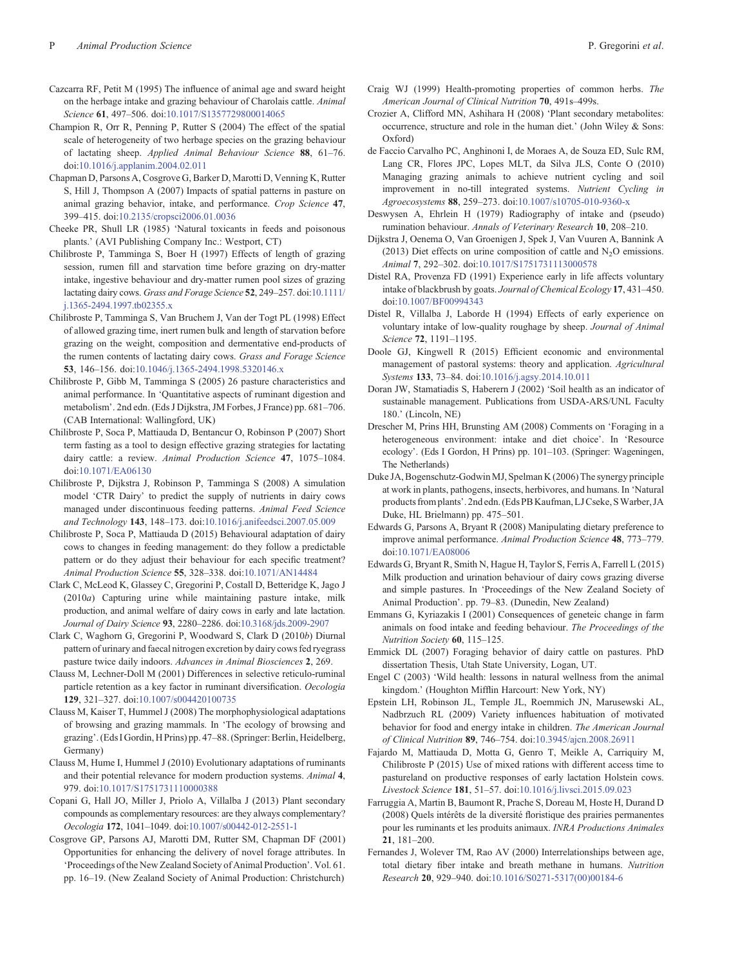- <span id="page-15-0"></span>Cazcarra RF, Petit M (1995) The influence of animal age and sward height on the herbage intake and grazing behaviour of Charolais cattle. Animal Science 61, 497–506. doi[:10.1017/S1357729800014065](dx.doi.org/10.1017/S1357729800014065)
- Champion R, Orr R, Penning P, Rutter S (2004) The effect of the spatial scale of heterogeneity of two herbage species on the grazing behaviour of lactating sheep. Applied Animal Behaviour Science 88, 61–76. doi:[10.1016/j.applanim.2004.02.011](dx.doi.org/10.1016/j.applanim.2004.02.011)
- Chapman D, Parsons A, Cosgrove G, Barker D, Marotti D, Venning K, Rutter S, Hill J, Thompson A (2007) Impacts of spatial patterns in pasture on animal grazing behavior, intake, and performance. Crop Science 47, 399–415. doi:[10.2135/cropsci2006.01.0036](dx.doi.org/10.2135/cropsci2006.01.0036)
- Cheeke PR, Shull LR (1985) 'Natural toxicants in feeds and poisonous plants.' (AVI Publishing Company Inc.: Westport, CT)
- Chilibroste P, Tamminga S, Boer H (1997) Effects of length of grazing session, rumen fill and starvation time before grazing on dry-matter intake, ingestive behaviour and dry-matter rumen pool sizes of grazing lactating dairy cows. Grass and Forage Science 52, 249-257. doi[:10.1111/](dx.doi.org/10.1111/j.1365-2494.1997.tb02355.x) [j.1365-2494.1997.tb02355.x](dx.doi.org/10.1111/j.1365-2494.1997.tb02355.x)
- Chilibroste P, Tamminga S, Van Bruchem J, Van der Togt PL (1998) Effect of allowed grazing time, inert rumen bulk and length of starvation before grazing on the weight, composition and dermentative end-products of the rumen contents of lactating dairy cows. Grass and Forage Science 53, 146–156. doi[:10.1046/j.1365-2494.1998.5320146.x](dx.doi.org/10.1046/j.1365-2494.1998.5320146.x)
- Chilibroste P, Gibb M, Tamminga S (2005) 26 pasture characteristics and animal performance. In 'Quantitative aspects of ruminant digestion and metabolism'. 2nd edn. (Eds J Dijkstra, JM Forbes, J France) pp. 681–706. (CAB International: Wallingford, UK)
- Chilibroste P, Soca P, Mattiauda D, Bentancur O, Robinson P (2007) Short term fasting as a tool to design effective grazing strategies for lactating dairy cattle: a review. Animal Production Science 47, 1075–1084. doi:[10.1071/EA06130](dx.doi.org/10.1071/EA06130)
- Chilibroste P, Dijkstra J, Robinson P, Tamminga S (2008) A simulation model 'CTR Dairy' to predict the supply of nutrients in dairy cows managed under discontinuous feeding patterns. Animal Feed Science and Technology 143, 148–173. doi[:10.1016/j.anifeedsci.2007.05.009](dx.doi.org/10.1016/j.anifeedsci.2007.05.009)
- Chilibroste P, Soca P, Mattiauda D (2015) Behavioural adaptation of dairy cows to changes in feeding management: do they follow a predictable pattern or do they adjust their behaviour for each specific treatment? Animal Production Science 55, 328–338. doi[:10.1071/AN14484](dx.doi.org/10.1071/AN14484)
- Clark C, McLeod K, Glassey C, Gregorini P, Costall D, Betteridge K, Jago J (2010a) Capturing urine while maintaining pasture intake, milk production, and animal welfare of dairy cows in early and late lactation. Journal of Dairy Science 93, 2280–2286. doi[:10.3168/jds.2009-2907](dx.doi.org/10.3168/jds.2009-2907)
- Clark C, Waghorn G, Gregorini P, Woodward S, Clark D (2010b) Diurnal pattern of urinary and faecal nitrogen excretion by dairy cows fed ryegrass pasture twice daily indoors. Advances in Animal Biosciences 2, 269.
- Clauss M, Lechner-Doll M (2001) Differences in selective reticulo-ruminal particle retention as a key factor in ruminant diversification. Oecologia 129, 321–327. doi:[10.1007/s004420100735](dx.doi.org/10.1007/s004420100735)
- Clauss M, Kaiser T, Hummel J (2008) The morphophysiological adaptations of browsing and grazing mammals. In 'The ecology of browsing and grazing'. (Eds I Gordin, H Prins) pp. 47–88. (Springer:Berlin, Heidelberg, Germany)
- Clauss M, Hume I, Hummel J (2010) Evolutionary adaptations of ruminants and their potential relevance for modern production systems. Animal 4, 979. doi:[10.1017/S1751731110000388](dx.doi.org/10.1017/S1751731110000388)
- Copani G, Hall JO, Miller J, Priolo A, Villalba J (2013) Plant secondary compounds as complementary resources: are they always complementary? Oecologia 172, 1041–1049. doi[:10.1007/s00442-012-2551-1](dx.doi.org/10.1007/s00442-012-2551-1)
- Cosgrove GP, Parsons AJ, Marotti DM, Rutter SM, Chapman DF (2001) Opportunities for enhancing the delivery of novel forage attributes. In 'Proceedings of the New Zealand Society of Animal Production'. Vol. 61. pp. 16–19. (New Zealand Society of Animal Production: Christchurch)
- Craig WJ (1999) Health-promoting properties of common herbs. The American Journal of Clinical Nutrition 70, 491s–499s.
- Crozier A, Clifford MN, Ashihara H (2008) 'Plant secondary metabolites: occurrence, structure and role in the human diet.' (John Wiley & Sons: Oxford)
- de Faccio Carvalho PC, Anghinoni I, de Moraes A, de Souza ED, Sulc RM, Lang CR, Flores JPC, Lopes MLT, da Silva JLS, Conte O (2010) Managing grazing animals to achieve nutrient cycling and soil improvement in no-till integrated systems. Nutrient Cycling in Agroecosystems 88, 259–273. doi[:10.1007/s10705-010-9360-x](dx.doi.org/10.1007/s10705-010-9360-x)
- Deswysen A, Ehrlein H (1979) Radiography of intake and (pseudo) rumination behaviour. Annals of Veterinary Research 10, 208–210.
- Dijkstra J, Oenema O, Van Groenigen J, Spek J, Van Vuuren A, Bannink A (2013) Diet effects on urine composition of cattle and  $N_2O$  emissions. Animal 7, 292–302. doi[:10.1017/S1751731113000578](dx.doi.org/10.1017/S1751731113000578)
- Distel RA, Provenza FD (1991) Experience early in life affects voluntary intake of blackbrush by goats. Journal of Chemical Ecology 17, 431–450. doi:[10.1007/BF00994343](dx.doi.org/10.1007/BF00994343)
- Distel R, Villalba J, Laborde H (1994) Effects of early experience on voluntary intake of low-quality roughage by sheep. Journal of Animal Science 72, 1191–1195.
- Doole GJ, Kingwell R (2015) Efficient economic and environmental management of pastoral systems: theory and application. Agricultural Systems 133, 73–84. doi[:10.1016/j.agsy.2014.10.011](dx.doi.org/10.1016/j.agsy.2014.10.011)
- Doran JW, Stamatiadis S, Haberern J (2002) 'Soil health as an indicator of sustainable management. Publications from USDA-ARS/UNL Faculty 180.' (Lincoln, NE)
- Drescher M, Prins HH, Brunsting AM (2008) Comments on 'Foraging in a heterogeneous environment: intake and diet choice'. In 'Resource ecology'. (Eds I Gordon, H Prins) pp. 101–103. (Springer: Wageningen, The Netherlands)
- Duke JA, Bogenschutz-GodwinMJ, Spelman K (2006) The synergy principle at work in plants, pathogens, insects, herbivores, and humans. In 'Natural products from plants'. 2nd edn. (Eds PB Kaufman, LJCseke, SWarber, JA Duke, HL Brielmann) pp. 475–501.
- Edwards G, Parsons A, Bryant R (2008) Manipulating dietary preference to improve animal performance. Animal Production Science 48, 773–779. doi:[10.1071/EA08006](dx.doi.org/10.1071/EA08006)
- Edwards G, Bryant R, Smith N, Hague H, Taylor S, Ferris A, Farrell L (2015) Milk production and urination behaviour of dairy cows grazing diverse and simple pastures. In 'Proceedings of the New Zealand Society of Animal Production'. pp. 79–83. (Dunedin, New Zealand)
- Emmans G, Kyriazakis I (2001) Consequences of geneteic change in farm animals on food intake and feeding behaviour. The Proceedings of the Nutrition Society 60, 115–125.
- Emmick DL (2007) Foraging behavior of dairy cattle on pastures. PhD dissertation Thesis, Utah State University, Logan, UT.
- Engel C (2003) 'Wild health: lessons in natural wellness from the animal kingdom.' (Houghton Mifflin Harcourt: New York, NY)
- Epstein LH, Robinson JL, Temple JL, Roemmich JN, Marusewski AL, Nadbrzuch RL (2009) Variety influences habituation of motivated behavior for food and energy intake in children. The American Journal of Clinical Nutrition 89, 746–754. doi[:10.3945/ajcn.2008.26911](dx.doi.org/10.3945/ajcn.2008.26911)
- Fajardo M, Mattiauda D, Motta G, Genro T, Meikle A, Carriquiry M, Chilibroste P (2015) Use of mixed rations with different access time to pastureland on productive responses of early lactation Holstein cows. Livestock Science 181, 51–57. doi[:10.1016/j.livsci.2015.09.023](dx.doi.org/10.1016/j.livsci.2015.09.023)
- Farruggia A, Martin B, Baumont R, Prache S, Doreau M, Hoste H, Durand D (2008) Quels intérêts de la diversité floristique des prairies permanentes pour les ruminants et les produits animaux. INRA Productions Animales 21, 181–200.
- Fernandes J, Wolever TM, Rao AV (2000) Interrelationships between age, total dietary fiber intake and breath methane in humans. Nutrition Research 20, 929–940. doi:[10.1016/S0271-5317\(00\)00184-6](dx.doi.org/10.1016/S0271-5317(00)00184-6)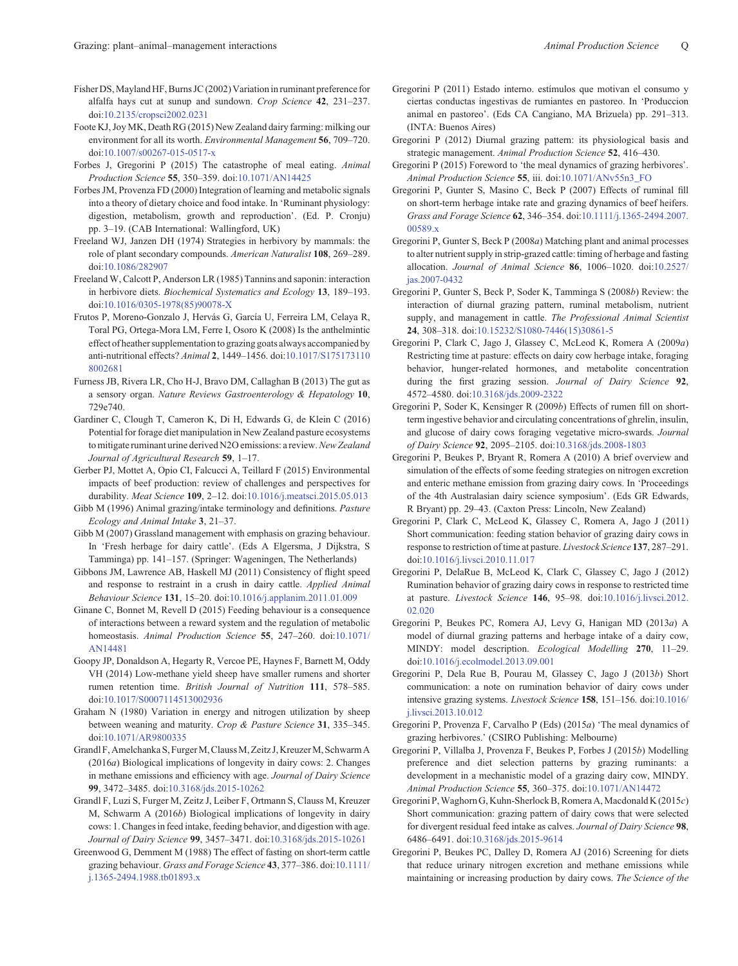- <span id="page-16-0"></span>Fisher DS, Mayland HF, Burns JC (2002) Variation in ruminant preference for alfalfa hays cut at sunup and sundown. Crop Science 42, 231–237. doi:[10.2135/cropsci2002.0231](dx.doi.org/10.2135/cropsci2002.0231)
- Foote KJ, Joy MK, Death RG (2015) New Zealand dairy farming: milking our environment for all its worth. Environmental Management 56, 709–720. doi:[10.1007/s00267-015-0517-x](dx.doi.org/10.1007/s00267-015-0517-x)
- Forbes J, Gregorini P (2015) The catastrophe of meal eating. Animal Production Science 55, 350–359. doi:[10.1071/AN14425](dx.doi.org/10.1071/AN14425)
- Forbes JM, Provenza FD (2000) Integration of learning and metabolic signals into a theory of dietary choice and food intake. In 'Ruminant physiology: digestion, metabolism, growth and reproduction'. (Ed. P. Cronju) pp. 3–19. (CAB International: Wallingford, UK)
- Freeland WJ, Janzen DH (1974) Strategies in herbivory by mammals: the role of plant secondary compounds. American Naturalist 108, 269–289. doi:[10.1086/282907](dx.doi.org/10.1086/282907)
- Freeland W, Calcott P, Anderson LR (1985) Tannins and saponin: interaction in herbivore diets. Biochemical Systematics and Ecology 13, 189–193. doi:[10.1016/0305-1978\(85\)90078-X](dx.doi.org/10.1016/0305-1978(85)90078-X)
- Frutos P, Moreno-Gonzalo J, Hervás G, García U, Ferreira LM, Celaya R, Toral PG, Ortega-Mora LM, Ferre I, Osoro K (2008) Is the anthelmintic effect of heather supplementation to grazing goats always accompanied by anti-nutritional effects? Animal 2, 1449–1456. doi:[10.1017/S175173110](dx.doi.org/10.1017/S1751731108002681) [8002681](dx.doi.org/10.1017/S1751731108002681)
- Furness JB, Rivera LR, Cho H-J, Bravo DM, Callaghan B (2013) The gut as a sensory organ. Nature Reviews Gastroenterology & Hepatology 10, 729e740.
- Gardiner C, Clough T, Cameron K, Di H, Edwards G, de Klein C (2016) Potential for forage diet manipulation in New Zealand pasture ecosystems to mitigate ruminant urine derived N2O emissions: a review. New Zealand Journal of Agricultural Research 59, 1-17.
- Gerber PJ, Mottet A, Opio CI, Falcucci A, Teillard F (2015) Environmental impacts of beef production: review of challenges and perspectives for durability. Meat Science 109, 2–12. doi[:10.1016/j.meatsci.2015.05.013](dx.doi.org/10.1016/j.meatsci.2015.05.013)
- Gibb M (1996) Animal grazing/intake terminology and definitions. Pasture Ecology and Animal Intake 3, 21–37.
- Gibb M (2007) Grassland management with emphasis on grazing behaviour. In 'Fresh herbage for dairy cattle'. (Eds A Elgersma, J Dijkstra, S Tamminga) pp. 141–157. (Springer: Wageningen, The Netherlands)
- Gibbons JM, Lawrence AB, Haskell MJ (2011) Consistency of flight speed and response to restraint in a crush in dairy cattle. Applied Animal Behaviour Science 131, 15–20. doi[:10.1016/j.applanim.2011.01.009](dx.doi.org/10.1016/j.applanim.2011.01.009)
- Ginane C, Bonnet M, Revell D (2015) Feeding behaviour is a consequence of interactions between a reward system and the regulation of metabolic homeostasis. Animal Production Science 55, 247-260. doi:[10.1071/](dx.doi.org/10.1071/AN14481) [AN14481](dx.doi.org/10.1071/AN14481)
- Goopy JP, Donaldson A, Hegarty R, Vercoe PE, Haynes F, Barnett M, Oddy VH (2014) Low-methane yield sheep have smaller rumens and shorter rumen retention time. British Journal of Nutrition 111, 578–585. doi:[10.1017/S0007114513002936](dx.doi.org/10.1017/S0007114513002936)
- Graham N (1980) Variation in energy and nitrogen utilization by sheep between weaning and maturity. Crop & Pasture Science 31, 335–345. doi:[10.1071/AR9800335](dx.doi.org/10.1071/AR9800335)
- Grandl F, Amelchanka S, Furger M, Clauss M, Zeitz J, Kreuzer M, Schwarm A (2016a) Biological implications of longevity in dairy cows: 2. Changes in methane emissions and efficiency with age. Journal of Dairy Science 99, 3472–3485. doi:[10.3168/jds.2015-10262](dx.doi.org/10.3168/jds.2015-10262)
- Grandl F, Luzi S, Furger M, Zeitz J, Leiber F, Ortmann S, Clauss M, Kreuzer M, Schwarm A (2016b) Biological implications of longevity in dairy cows: 1. Changes in feed intake, feeding behavior, and digestion with age. Journal of Dairy Science 99, 3457–3471. doi:[10.3168/jds.2015-10261](dx.doi.org/10.3168/jds.2015-10261)
- Greenwood G, Demment M (1988) The effect of fasting on short-term cattle grazing behaviour. Grass and Forage Science 43, 377–386. doi:[10.1111/](dx.doi.org/10.1111/j.1365-2494.1988.tb01893.x) [j.1365-2494.1988.tb01893.x](dx.doi.org/10.1111/j.1365-2494.1988.tb01893.x)
- Gregorini P (2011) Estado interno. estímulos que motivan el consumo y ciertas conductas ingestivas de rumiantes en pastoreo. In 'Produccion animal en pastoreo'. (Eds CA Cangiano, MA Brizuela) pp. 291–313. (INTA: Buenos Aires)
- Gregorini P (2012) Diurnal grazing pattern: its physiological basis and strategic management. Animal Production Science 52, 416–430.
- Gregorini P (2015) Foreword to 'the meal dynamics of grazing herbivores'. Animal Production Science 55, iii. doi:[10.1071/ANv55n3\\_FO](dx.doi.org/10.1071/ANv55n3_FO)
- Gregorini P, Gunter S, Masino C, Beck P (2007) Effects of ruminal fill on short-term herbage intake rate and grazing dynamics of beef heifers. Grass and Forage Science 62, 346–354. doi[:10.1111/j.1365-2494.2007.](dx.doi.org/10.1111/j.1365-2494.2007.00589.x) 00589 x
- Gregorini P, Gunter S, Beck P (2008a) Matching plant and animal processes to alter nutrient supply in strip-grazed cattle: timing of herbage and fasting allocation. Journal of Animal Science 86, 1006–1020. doi:[10.2527/](dx.doi.org/10.2527/jas.2007-0432) [jas.2007-0432](dx.doi.org/10.2527/jas.2007-0432)
- Gregorini P, Gunter S, Beck P, Soder K, Tamminga S (2008b) Review: the interaction of diurnal grazing pattern, ruminal metabolism, nutrient supply, and management in cattle. The Professional Animal Scientist 24, 308–318. doi:[10.15232/S1080-7446\(15\)30861-5](dx.doi.org/10.15232/S1080-7446(15)30861-5)
- Gregorini P, Clark C, Jago J, Glassey C, McLeod K, Romera A (2009a) Restricting time at pasture: effects on dairy cow herbage intake, foraging behavior, hunger-related hormones, and metabolite concentration during the first grazing session. Journal of Dairy Science 92, 4572–4580. doi:[10.3168/jds.2009-2322](dx.doi.org/10.3168/jds.2009-2322)
- Gregorini P, Soder K, Kensinger R (2009b) Effects of rumen fill on shortterm ingestive behavior and circulating concentrations of ghrelin, insulin, and glucose of dairy cows foraging vegetative micro-swards. Journal of Dairy Science 92, 2095–2105. doi[:10.3168/jds.2008-1803](dx.doi.org/10.3168/jds.2008-1803)
- Gregorini P, Beukes P, Bryant R, Romera A (2010) A brief overview and simulation of the effects of some feeding strategies on nitrogen excretion and enteric methane emission from grazing dairy cows. In 'Proceedings of the 4th Australasian dairy science symposium'. (Eds GR Edwards, R Bryant) pp. 29–43. (Caxton Press: Lincoln, New Zealand)
- Gregorini P, Clark C, McLeod K, Glassey C, Romera A, Jago J (2011) Short communication: feeding station behavior of grazing dairy cows in response to restriction of time at pasture. Livestock Science 137, 287–291. doi:[10.1016/j.livsci.2010.11.017](dx.doi.org/10.1016/j.livsci.2010.11.017)
- Gregorini P, DelaRue B, McLeod K, Clark C, Glassey C, Jago J (2012) Rumination behavior of grazing dairy cows in response to restricted time at pasture. Livestock Science 146, 95–98. doi:[10.1016/j.livsci.2012.](dx.doi.org/10.1016/j.livsci.2012.02.020) [02.020](dx.doi.org/10.1016/j.livsci.2012.02.020)
- Gregorini P, Beukes PC, Romera AJ, Levy G, Hanigan MD (2013a) A model of diurnal grazing patterns and herbage intake of a dairy cow, MINDY: model description. Ecological Modelling 270, 11–29. doi:[10.1016/j.ecolmodel.2013.09.001](dx.doi.org/10.1016/j.ecolmodel.2013.09.001)
- Gregorini P, Dela Rue B, Pourau M, Glassey C, Jago J (2013b) Short communication: a note on rumination behavior of dairy cows under intensive grazing systems. Livestock Science 158, 151–156. doi[:10.1016/](dx.doi.org/10.1016/j.livsci.2013.10.012) [j.livsci.2013.10.012](dx.doi.org/10.1016/j.livsci.2013.10.012)
- Gregorini P, Provenza F, Carvalho P (Eds) (2015a) 'The meal dynamics of grazing herbivores.' (CSIRO Publishing: Melbourne)
- Gregorini P, Villalba J, Provenza F, Beukes P, Forbes J (2015b) Modelling preference and diet selection patterns by grazing ruminants: a development in a mechanistic model of a grazing dairy cow, MINDY. Animal Production Science 55, 360–375. doi:[10.1071/AN14472](dx.doi.org/10.1071/AN14472)
- Gregorini P,Waghorn G, Kuhn-Sherlock B, Romera A,Macdonald K (2015c) Short communication: grazing pattern of dairy cows that were selected for divergent residual feed intake as calves. Journal of Dairy Science 98, 6486–6491. doi:[10.3168/jds.2015-9614](dx.doi.org/10.3168/jds.2015-9614)
- Gregorini P, Beukes PC, Dalley D, Romera AJ (2016) Screening for diets that reduce urinary nitrogen excretion and methane emissions while maintaining or increasing production by dairy cows. The Science of the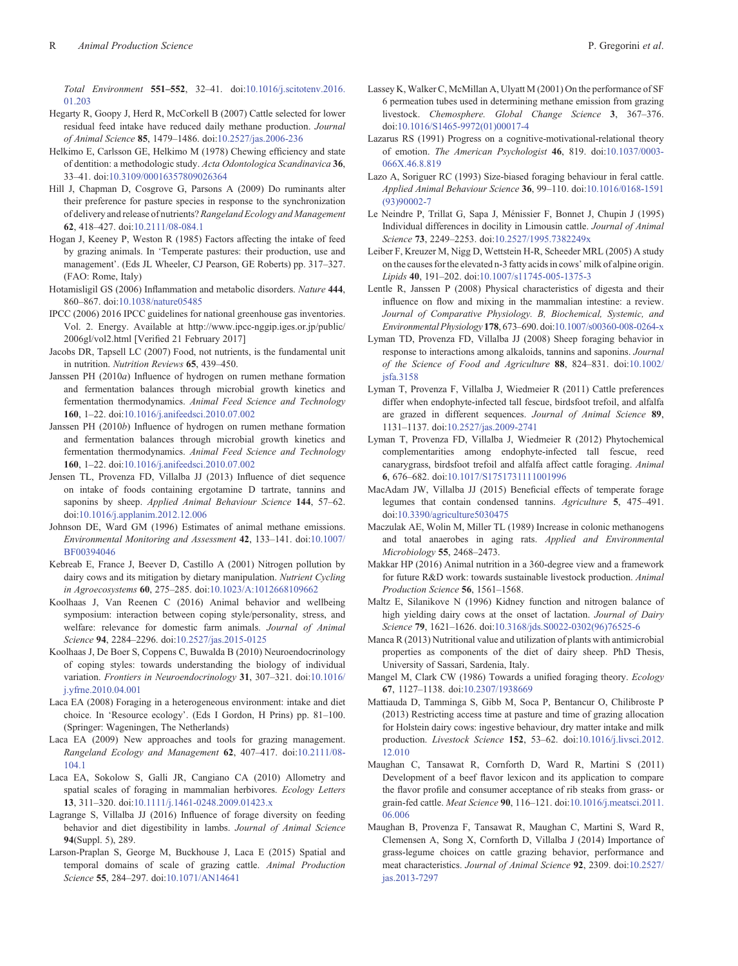<span id="page-17-0"></span>Total Environment 551–552, 32–41. doi[:10.1016/j.scitotenv.2016.](dx.doi.org/10.1016/j.scitotenv.2016.01.203) [01.203](dx.doi.org/10.1016/j.scitotenv.2016.01.203)

- Hegarty R, Goopy J, Herd R, McCorkell B (2007) Cattle selected for lower residual feed intake have reduced daily methane production. Journal of Animal Science 85, 1479–1486. doi:[10.2527/jas.2006-236](dx.doi.org/10.2527/jas.2006-236)
- Helkimo E, Carlsson GE, Helkimo M (1978) Chewing efficiency and state of dentition: a methodologic study. Acta Odontologica Scandinavica 36, 33–41. doi:[10.3109/00016357809026364](dx.doi.org/10.3109/00016357809026364)
- Hill J, Chapman D, Cosgrove G, Parsons A (2009) Do ruminants alter their preference for pasture species in response to the synchronization of delivery and release of nutrients? Rangeland Ecology and Management 62, 418–427. doi[:10.2111/08-084.1](dx.doi.org/10.2111/08-084.1)
- Hogan J, Keeney P, Weston R (1985) Factors affecting the intake of feed by grazing animals. In 'Temperate pastures: their production, use and management'. (Eds JL Wheeler, CJ Pearson, GE Roberts) pp. 317–327. (FAO: Rome, Italy)
- Hotamisligil GS (2006) Inflammation and metabolic disorders. Nature 444, 860–867. doi:[10.1038/nature05485](dx.doi.org/10.1038/nature05485)
- IPCC (2006) 2016 IPCC guidelines for national greenhouse gas inventories. Vol. 2. Energy. Available at [http://www.ipcc-nggip.iges.or.jp/public/](www.ipcc-nggip.iges.or.jp/public/2006gl/vol2.html) [2006gl/vol2.html](www.ipcc-nggip.iges.or.jp/public/2006gl/vol2.html) [Verified 21 February 2017]
- Jacobs DR, Tapsell LC (2007) Food, not nutrients, is the fundamental unit in nutrition. Nutrition Reviews 65, 439–450.
- Janssen PH (2010a) Influence of hydrogen on rumen methane formation and fermentation balances through microbial growth kinetics and fermentation thermodynamics. Animal Feed Science and Technology 160, 1–22. doi[:10.1016/j.anifeedsci.2010.07.002](dx.doi.org/10.1016/j.anifeedsci.2010.07.002)
- Janssen PH (2010b) Influence of hydrogen on rumen methane formation and fermentation balances through microbial growth kinetics and fermentation thermodynamics. Animal Feed Science and Technology 160, 1–22. doi[:10.1016/j.anifeedsci.2010.07.002](dx.doi.org/10.1016/j.anifeedsci.2010.07.002)
- Jensen TL, Provenza FD, Villalba JJ (2013) Influence of diet sequence on intake of foods containing ergotamine D tartrate, tannins and saponins by sheep. Applied Animal Behaviour Science 144, 57–62. doi:[10.1016/j.applanim.2012.12.006](dx.doi.org/10.1016/j.applanim.2012.12.006)
- Johnson DE, Ward GM (1996) Estimates of animal methane emissions. Environmental Monitoring and Assessment 42, 133–141. doi:[10.1007/](dx.doi.org/10.1007/BF00394046) [BF00394046](dx.doi.org/10.1007/BF00394046)
- Kebreab E, France J, Beever D, Castillo A (2001) Nitrogen pollution by dairy cows and its mitigation by dietary manipulation. Nutrient Cycling in Agroecosystems 60, 275–285. doi[:10.1023/A:1012668109662](dx.doi.org/10.1023/A:1012668109662)
- Koolhaas J, Van Reenen C (2016) Animal behavior and wellbeing symposium: interaction between coping style/personality, stress, and welfare: relevance for domestic farm animals. Journal of Animal Science 94, 2284–2296. doi[:10.2527/jas.2015-0125](dx.doi.org/10.2527/jas.2015-0125)
- Koolhaas J, De Boer S, Coppens C, Buwalda B (2010) Neuroendocrinology of coping styles: towards understanding the biology of individual variation. Frontiers in Neuroendocrinology 31, 307–321. doi:[10.1016/](dx.doi.org/10.1016/j.yfrne.2010.04.001) [j.yfrne.2010.04.001](dx.doi.org/10.1016/j.yfrne.2010.04.001)
- Laca EA (2008) Foraging in a heterogeneous environment: intake and diet choice. In 'Resource ecology'. (Eds I Gordon, H Prins) pp. 81–100. (Springer: Wageningen, The Netherlands)
- Laca EA (2009) New approaches and tools for grazing management. Rangeland Ecology and Management 62, 407–417. doi[:10.2111/08-](dx.doi.org/10.2111/08-104.1) [104.1](dx.doi.org/10.2111/08-104.1)
- Laca EA, Sokolow S, Galli JR, Cangiano CA (2010) Allometry and spatial scales of foraging in mammalian herbivores. Ecology Letters 13, 311–320. doi[:10.1111/j.1461-0248.2009.01423.x](dx.doi.org/10.1111/j.1461-0248.2009.01423.x)
- Lagrange S, Villalba JJ (2016) Influence of forage diversity on feeding behavior and diet digestibility in lambs. Journal of Animal Science 94(Suppl. 5), 289.
- Larson-Praplan S, George M, Buckhouse J, Laca E (2015) Spatial and temporal domains of scale of grazing cattle. Animal Production Science 55, 284–297. doi[:10.1071/AN14641](dx.doi.org/10.1071/AN14641)
- Lassey K, Walker C, McMillan A, Ulyatt M (2001) On the performance of SF 6 permeation tubes used in determining methane emission from grazing livestock. Chemosphere. Global Change Science 3, 367–376. doi:[10.1016/S1465-9972\(01\)00017-4](dx.doi.org/10.1016/S1465-9972(01)00017-4)
- Lazarus RS (1991) Progress on a cognitive-motivational-relational theory of emotion. The American Psychologist 46, 819. doi[:10.1037/0003-](dx.doi.org/10.1037/0003-066X.46.8.819) [066X.46.8.819](dx.doi.org/10.1037/0003-066X.46.8.819)
- Lazo A, Soriguer RC (1993) Size-biased foraging behaviour in feral cattle. Applied Animal Behaviour Science 36, 99–110. doi[:10.1016/0168-1591](dx.doi.org/10.1016/0168-1591(93)90002-7) [\(93\)90002-7](dx.doi.org/10.1016/0168-1591(93)90002-7)
- Le Neindre P, Trillat G, Sapa J, Ménissier F, Bonnet J, Chupin J (1995) Individual differences in docility in Limousin cattle. Journal of Animal Science 73, 2249–2253. doi[:10.2527/1995.7382249x](dx.doi.org/10.2527/1995.7382249x)
- Leiber F, Kreuzer M, Nigg D, Wettstein H-R, Scheeder MRL (2005) A study on the causes for the elevated n-3 fatty acids in cows' milk of alpine origin. Lipids 40, 191–202. doi[:10.1007/s11745-005-1375-3](dx.doi.org/10.1007/s11745-005-1375-3)
- Lentle R, Janssen P (2008) Physical characteristics of digesta and their influence on flow and mixing in the mammalian intestine: a review. Journal of Comparative Physiology. B, Biochemical, Systemic, and Environmental Physiology 178, 673–690. doi:[10.1007/s00360-008-0264-x](dx.doi.org/10.1007/s00360-008-0264-x)
- Lyman TD, Provenza FD, Villalba JJ (2008) Sheep foraging behavior in response to interactions among alkaloids, tannins and saponins. Journal of the Science of Food and Agriculture 88, 824–831. doi:[10.1002/](dx.doi.org/10.1002/jsfa.3158) [jsfa.3158](dx.doi.org/10.1002/jsfa.3158)
- Lyman T, Provenza F, Villalba J, Wiedmeier R (2011) Cattle preferences differ when endophyte-infected tall fescue, birdsfoot trefoil, and alfalfa are grazed in different sequences. Journal of Animal Science 89, 1131–1137. doi:[10.2527/jas.2009-2741](dx.doi.org/10.2527/jas.2009-2741)
- Lyman T, Provenza FD, Villalba J, Wiedmeier R (2012) Phytochemical complementarities among endophyte-infected tall fescue, reed canarygrass, birdsfoot trefoil and alfalfa affect cattle foraging. Animal 6, 676–682. doi[:10.1017/S1751731111001996](dx.doi.org/10.1017/S1751731111001996)
- MacAdam JW, Villalba JJ (2015) Beneficial effects of temperate forage legumes that contain condensed tannins. Agriculture 5, 475–491. doi:[10.3390/agriculture5030475](dx.doi.org/10.3390/agriculture5030475)
- Maczulak AE, Wolin M, Miller TL (1989) Increase in colonic methanogens and total anaerobes in aging rats. Applied and Environmental Microbiology 55, 2468–2473.
- Makkar HP (2016) Animal nutrition in a 360-degree view and a framework for future R&D work: towards sustainable livestock production. Animal Production Science 56, 1561–1568.
- Maltz E, Silanikove N (1996) Kidney function and nitrogen balance of high yielding dairy cows at the onset of lactation. Journal of Dairy Science 79, 1621–1626. doi[:10.3168/jds.S0022-0302\(96\)76525-6](dx.doi.org/10.3168/jds.S0022-0302(96)76525-6)
- Manca R (2013) Nutritional value and utilization of plants with antimicrobial properties as components of the diet of dairy sheep. PhD Thesis, University of Sassari, Sardenia, Italy.
- Mangel M, Clark CW (1986) Towards a unified foraging theory. Ecology 67, 1127–1138. doi[:10.2307/1938669](dx.doi.org/10.2307/1938669)
- Mattiauda D, Tamminga S, Gibb M, Soca P, Bentancur O, Chilibroste P (2013) Restricting access time at pasture and time of grazing allocation for Holstein dairy cows: ingestive behaviour, dry matter intake and milk production. Livestock Science 152, 53–62. doi:[10.1016/j.livsci.2012.](dx.doi.org/10.1016/j.livsci.2012.12.010) [12.010](dx.doi.org/10.1016/j.livsci.2012.12.010)
- Maughan C, Tansawat R, Cornforth D, Ward R, Martini S (2011) Development of a beef flavor lexicon and its application to compare the flavor profile and consumer acceptance of rib steaks from grass- or grain-fed cattle. Meat Science 90, 116–121. doi:[10.1016/j.meatsci.2011.](dx.doi.org/10.1016/j.meatsci.2011.06.006) [06.006](dx.doi.org/10.1016/j.meatsci.2011.06.006)
- Maughan B, Provenza F, Tansawat R, Maughan C, Martini S, Ward R, Clemensen A, Song X, Cornforth D, Villalba J (2014) Importance of grass-legume choices on cattle grazing behavior, performance and meat characteristics. Journal of Animal Science 92, 2309. doi:[10.2527/](dx.doi.org/10.2527/jas.2013-7297) [jas.2013-7297](dx.doi.org/10.2527/jas.2013-7297)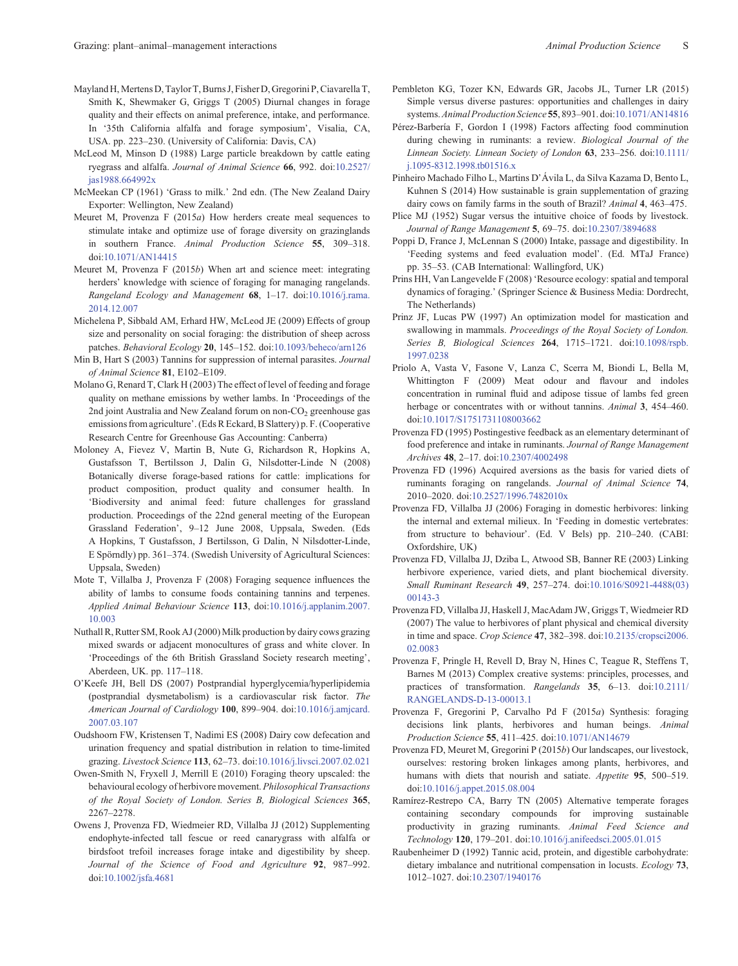- <span id="page-18-0"></span>Mayland H, Mertens D, Taylor T, Burns J, Fisher D, Gregorini P, Ciavarella T, Smith K, Shewmaker G, Griggs T (2005) Diurnal changes in forage quality and their effects on animal preference, intake, and performance. In '35th California alfalfa and forage symposium', Visalia, CA, USA. pp. 223–230. (University of California: Davis, CA)
- McLeod M, Minson D (1988) Large particle breakdown by cattle eating ryegrass and alfalfa. Journal of Animal Science 66, 992. doi:[10.2527/](dx.doi.org/10.2527/jas1988.664992x) [jas1988.664992x](dx.doi.org/10.2527/jas1988.664992x)
- McMeekan CP (1961) 'Grass to milk.' 2nd edn. (The New Zealand Dairy Exporter: Wellington, New Zealand)
- Meuret M, Provenza F  $(2015a)$  How herders create meal sequences to stimulate intake and optimize use of forage diversity on grazinglands in southern France. Animal Production Science 55, 309–318. doi:[10.1071/AN14415](dx.doi.org/10.1071/AN14415)
- Meuret M, Provenza F (2015b) When art and science meet: integrating herders' knowledge with science of foraging for managing rangelands. Rangeland Ecology and Management 68, 1-17. doi:[10.1016/j.rama.](dx.doi.org/10.1016/j.rama.2014.12.007) [2014.12.007](dx.doi.org/10.1016/j.rama.2014.12.007)
- Michelena P, Sibbald AM, Erhard HW, McLeod JE (2009) Effects of group size and personality on social foraging: the distribution of sheep across patches. Behavioral Ecology 20, 145–152. doi[:10.1093/beheco/arn126](dx.doi.org/10.1093/beheco/arn126)
- Min B, Hart S (2003) Tannins for suppression of internal parasites. Journal of Animal Science 81, E102–E109.
- Molano G, Renard T, Clark H (2003) The effect of level of feeding and forage quality on methane emissions by wether lambs. In 'Proceedings of the 2nd joint Australia and New Zealand forum on non- $CO<sub>2</sub>$  greenhouse gas emissions from agriculture'. (Eds R Eckard, B Slattery) p. F. (Cooperative Research Centre for Greenhouse Gas Accounting: Canberra)
- Moloney A, Fievez V, Martin B, Nute G, Richardson R, Hopkins A, Gustafsson T, Bertilsson J, Dalin G, Nilsdotter-Linde N (2008) Botanically diverse forage-based rations for cattle: implications for product composition, product quality and consumer health. In 'Biodiversity and animal feed: future challenges for grassland production. Proceedings of the 22nd general meeting of the European Grassland Federation', 9–12 June 2008, Uppsala, Sweden. (Eds A Hopkins, T Gustafsson, J Bertilsson, G Dalin, N Nilsdotter-Linde, E Spörndly) pp. 361–374. (Swedish University of Agricultural Sciences: Uppsala, Sweden)
- Mote T, Villalba J, Provenza F (2008) Foraging sequence influences the ability of lambs to consume foods containing tannins and terpenes. Applied Animal Behaviour Science 113, doi[:10.1016/j.applanim.2007.](dx.doi.org/10.1016/j.applanim.2007.10.003) [10.003](dx.doi.org/10.1016/j.applanim.2007.10.003)
- Nuthall R, Rutter SM, Rook AJ (2000) Milk production by dairy cows grazing mixed swards or adjacent monocultures of grass and white clover. In 'Proceedings of the 6th British Grassland Society research meeting', Aberdeen, UK. pp. 117–118.
- O'Keefe JH, Bell DS (2007) Postprandial hyperglycemia/hyperlipidemia (postprandial dysmetabolism) is a cardiovascular risk factor. The American Journal of Cardiology 100, 899-904. doi[:10.1016/j.amjcard.](dx.doi.org/10.1016/j.amjcard.2007.03.107) [2007.03.107](dx.doi.org/10.1016/j.amjcard.2007.03.107)
- Oudshoorn FW, Kristensen T, Nadimi ES (2008) Dairy cow defecation and urination frequency and spatial distribution in relation to time-limited grazing. Livestock Science 113, 62–73. doi:[10.1016/j.livsci.2007.02.021](dx.doi.org/10.1016/j.livsci.2007.02.021)
- Owen-Smith N, Fryxell J, Merrill E (2010) Foraging theory upscaled: the behavioural ecology of herbivore movement. Philosophical Transactions of the Royal Society of London. Series B, Biological Sciences 365, 2267–2278.
- Owens J, Provenza FD, Wiedmeier RD, Villalba JJ (2012) Supplementing endophyte-infected tall fescue or reed canarygrass with alfalfa or birdsfoot trefoil increases forage intake and digestibility by sheep. Journal of the Science of Food and Agriculture 92, 987–992. doi:[10.1002/jsfa.4681](dx.doi.org/10.1002/jsfa.4681)
- Pembleton KG, Tozer KN, Edwards GR, Jacobs JL, Turner LR (2015) Simple versus diverse pastures: opportunities and challenges in dairy systems.Animal Production Science 55, 893–901. doi[:10.1071/AN14816](dx.doi.org/10.1071/AN14816)
- Pérez-Barbería F, Gordon I (1998) Factors affecting food comminution during chewing in ruminants: a review. Biological Journal of the Linnean Society. Linnean Society of London 63, 233–256. doi[:10.1111/](dx.doi.org/10.1111/j.1095-8312.1998.tb01516.x) [j.1095-8312.1998.tb01516.x](dx.doi.org/10.1111/j.1095-8312.1998.tb01516.x)
- Pinheiro Machado Filho L, Martins D'Ávila L, da Silva Kazama D, Bento L, Kuhnen S (2014) How sustainable is grain supplementation of grazing dairy cows on family farms in the south of Brazil? Animal <sup>4</sup>, 463–475.
- Plice MJ (1952) Sugar versus the intuitive choice of foods by livestock. Journal of Range Management 5, 69–75. doi[:10.2307/3894688](dx.doi.org/10.2307/3894688)
- Poppi D, France J, McLennan S (2000) Intake, passage and digestibility. In 'Feeding systems and feed evaluation model'. (Ed. MTaJ France) pp. 35–53. (CAB International: Wallingford, UK)
- Prins HH, Van Langevelde F (2008) 'Resource ecology: spatial and temporal dynamics of foraging.' (Springer Science & Business Media: Dordrecht, The Netherlands)
- Prinz JF, Lucas PW (1997) An optimization model for mastication and swallowing in mammals. Proceedings of the Royal Society of London. Series B, Biological Sciences 264, 1715-1721. doi[:10.1098/rspb.](dx.doi.org/10.1098/rspb.1997.0238) [1997.0238](dx.doi.org/10.1098/rspb.1997.0238)
- Priolo A, Vasta V, Fasone V, Lanza C, Scerra M, Biondi L, Bella M, Whittington F (2009) Meat odour and flavour and indoles concentration in ruminal fluid and adipose tissue of lambs fed green herbage or concentrates with or without tannins. Animal 3, 454–460. doi:[10.1017/S1751731108003662](dx.doi.org/10.1017/S1751731108003662)
- Provenza FD (1995) Postingestive feedback as an elementary determinant of food preference and intake in ruminants. Journal of Range Management Archives 48, 2–17. doi:[10.2307/4002498](dx.doi.org/10.2307/4002498)
- Provenza FD (1996) Acquired aversions as the basis for varied diets of ruminants foraging on rangelands. Journal of Animal Science 74, 2010–2020. doi:[10.2527/1996.7482010x](dx.doi.org/10.2527/1996.7482010x)
- Provenza FD, Villalba JJ (2006) Foraging in domestic herbivores: linking the internal and external milieux. In 'Feeding in domestic vertebrates: from structure to behaviour'. (Ed. V Bels) pp. 210–240. (CABI: Oxfordshire, UK)
- Provenza FD, Villalba JJ, Dziba L, Atwood SB, Banner RE (2003) Linking herbivore experience, varied diets, and plant biochemical diversity. Small Ruminant Research 49, 257–274. doi:[10.1016/S0921-4488\(03\)](dx.doi.org/10.1016/S0921-4488(03)00143-3) [00143-3](dx.doi.org/10.1016/S0921-4488(03)00143-3)
- Provenza FD, Villalba JJ, Haskell J, MacAdam JW, Griggs T, Wiedmeier RD (2007) The value to herbivores of plant physical and chemical diversity in time and space. Crop Science 47, 382–398. doi[:10.2135/cropsci2006.](dx.doi.org/10.2135/cropsci2006.02.0083) [02.0083](dx.doi.org/10.2135/cropsci2006.02.0083)
- Provenza F, Pringle H, Revell D, Bray N, Hines C, Teague R, Steffens T, Barnes M (2013) Complex creative systems: principles, processes, and practices of transformation. Rangelands <sup>35</sup>, 6–13. doi:[10.2111/](dx.doi.org/10.2111/RANGELANDS-D-13-00013.1) [RANGELANDS-D-13-00013.1](dx.doi.org/10.2111/RANGELANDS-D-13-00013.1)
- Provenza F, Gregorini P, Carvalho Pd F (2015a) Synthesis: foraging decisions link plants, herbivores and human beings. Animal Production Science 55, 411–425. doi:[10.1071/AN14679](dx.doi.org/10.1071/AN14679)
- Provenza FD, Meuret M, Gregorini P (2015b) Our landscapes, our livestock, ourselves: restoring broken linkages among plants, herbivores, and humans with diets that nourish and satiate. Appetite 95, 500–519. doi:[10.1016/j.appet.2015.08.004](dx.doi.org/10.1016/j.appet.2015.08.004)
- Ramírez-Restrepo CA, Barry TN (2005) Alternative temperate forages containing secondary compounds for improving sustainable productivity in grazing ruminants. Animal Feed Science and Technology 120, 179–201. doi[:10.1016/j.anifeedsci.2005.01.015](dx.doi.org/10.1016/j.anifeedsci.2005.01.015)
- Raubenheimer D (1992) Tannic acid, protein, and digestible carbohydrate: dietary imbalance and nutritional compensation in locusts. *Ecology* 73, 1012–1027. doi:[10.2307/1940176](dx.doi.org/10.2307/1940176)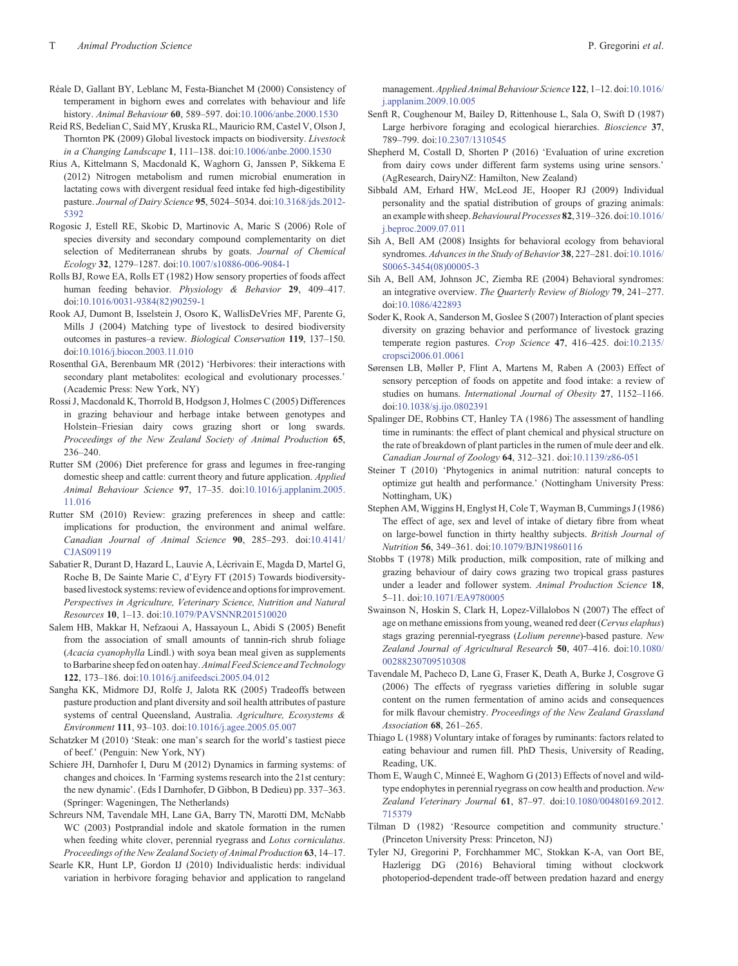- <span id="page-19-0"></span>Réale D, Gallant BY, Leblanc M, Festa-Bianchet M (2000) Consistency of temperament in bighorn ewes and correlates with behaviour and life history. Animal Behaviour 60, 589–597. doi[:10.1006/anbe.2000.1530](dx.doi.org/10.1006/anbe.2000.1530)
- Reid RS, Bedelian C, Said MY, Kruska RL, Mauricio RM, Castel V, Olson J, Thornton PK (2009) Global livestock impacts on biodiversity. Livestock in a Changing Landscape 1, 111–138. doi:[10.1006/anbe.2000.1530](dx.doi.org/10.1006/anbe.2000.1530)
- Rius A, Kittelmann S, Macdonald K, Waghorn G, Janssen P, Sikkema E (2012) Nitrogen metabolism and rumen microbial enumeration in lactating cows with divergent residual feed intake fed high-digestibility pasture. Journal of Dairy Science 95, 5024–5034. doi[:10.3168/jds.2012-](dx.doi.org/10.3168/jds.2012-5392) [5392](dx.doi.org/10.3168/jds.2012-5392)
- Rogosic J, Estell RE, Skobic D, Martinovic A, Maric S (2006) Role of species diversity and secondary compound complementarity on diet selection of Mediterranean shrubs by goats. Journal of Chemical Ecology 32, 1279–1287. doi[:10.1007/s10886-006-9084-1](dx.doi.org/10.1007/s10886-006-9084-1)
- Rolls BJ, Rowe EA, Rolls ET (1982) How sensory properties of foods affect human feeding behavior. Physiology & Behavior 29, 409-417. doi:[10.1016/0031-9384\(82\)90259-1](dx.doi.org/10.1016/0031-9384(82)90259-1)
- Rook AJ, Dumont B, Isselstein J, Osoro K, WallisDeVries MF, Parente G, Mills J (2004) Matching type of livestock to desired biodiversity outcomes in pastures–a review. Biological Conservation 119, 137–150. doi[:10.1016/j.biocon.2003.11.010](dx.doi.org/10.1016/j.biocon.2003.11.010)
- Rosenthal GA, Berenbaum MR (2012) 'Herbivores: their interactions with secondary plant metabolites: ecological and evolutionary processes.' (Academic Press: New York, NY)
- Rossi J, Macdonald K, Thorrold B, Hodgson J, Holmes C (2005) Differences in grazing behaviour and herbage intake between genotypes and Holstein–Friesian dairy cows grazing short or long swards. Proceedings of the New Zealand Society of Animal Production 65, 236–240.
- Rutter SM (2006) Diet preference for grass and legumes in free-ranging domestic sheep and cattle: current theory and future application. Applied Animal Behaviour Science 97, 17–35. doi[:10.1016/j.applanim.2005.](dx.doi.org/10.1016/j.applanim.2005.11.016) [11.016](dx.doi.org/10.1016/j.applanim.2005.11.016)
- Rutter SM (2010) Review: grazing preferences in sheep and cattle: implications for production, the environment and animal welfare. Canadian Journal of Animal Science 90, 285–293. doi:[10.4141/](dx.doi.org/10.4141/CJAS09119) [CJAS09119](dx.doi.org/10.4141/CJAS09119)
- Sabatier R, Durant D, Hazard L, Lauvie A, Lécrivain E, Magda D, Martel G, Roche B, De Sainte Marie C, d'Eyry FT (2015) Towards biodiversitybased livestock systems: review of evidence and options for improvement. Perspectives in Agriculture, Veterinary Science, Nutrition and Natural Resources 10, 1–13. doi:[10.1079/PAVSNNR201510020](dx.doi.org/10.1079/PAVSNNR201510020)
- Salem HB, Makkar H, Nefzaoui A, Hassayoun L, Abidi S (2005) Benefit from the association of small amounts of tannin-rich shrub foliage (Acacia cyanophylla Lindl.) with soya bean meal given as supplements to Barbarine sheep fed on oaten hay. Animal Feed Science and Technology 122, 173–186. doi:[10.1016/j.anifeedsci.2005.04.012](dx.doi.org/10.1016/j.anifeedsci.2005.04.012)
- Sangha KK, Midmore DJ, Rolfe J, Jalota RK (2005) Tradeoffs between pasture production and plant diversity and soil health attributes of pasture systems of central Queensland, Australia. Agriculture, Ecosystems & Environment 111, 93–103. doi[:10.1016/j.agee.2005.05.007](dx.doi.org/10.1016/j.agee.2005.05.007)

Schatzker M (2010) 'Steak: one man's search for the world's tastiest piece of beef.' (Penguin: New York, NY)

- Schiere JH, Darnhofer I, Duru M (2012) Dynamics in farming systems: of changes and choices. In 'Farming systems research into the 21st century: the new dynamic'. (Eds I Darnhofer, D Gibbon, B Dedieu) pp. 337–363. (Springer: Wageningen, The Netherlands)
- Schreurs NM, Tavendale MH, Lane GA, Barry TN, Marotti DM, McNabb WC (2003) Postprandial indole and skatole formation in the rumen when feeding white clover, perennial ryegrass and Lotus corniculatus. Proceedings of the New Zealand Society of Animal Production 63, 14–17.

Searle KR, Hunt LP, Gordon IJ (2010) Individualistic herds: individual variation in herbivore foraging behavior and application to rangeland management. Applied Animal Behaviour Science 122, 1-12. doi:[10.1016/](dx.doi.org/10.1016/j.applanim.2009.10.005) [j.applanim.2009.10.005](dx.doi.org/10.1016/j.applanim.2009.10.005)

- Senft R, Coughenour M, Bailey D, Rittenhouse L, Sala O, Swift D (1987) Large herbivore foraging and ecological hierarchies. Bioscience 37, 789–799. doi:[10.2307/1310545](dx.doi.org/10.2307/1310545)
- Shepherd M, Costall D, Shorten P (2016) 'Evaluation of urine excretion from dairy cows under different farm systems using urine sensors.' (AgResearch, DairyNZ: Hamilton, New Zealand)
- Sibbald AM, Erhard HW, McLeod JE, Hooper RJ (2009) Individual personality and the spatial distribution of groups of grazing animals: an example with sheep. Behavioural Processes 82, 319-326. doi:[10.1016/](dx.doi.org/10.1016/j.beproc.2009.07.011) [j.beproc.2009.07.011](dx.doi.org/10.1016/j.beproc.2009.07.011)
- Sih A, Bell AM (2008) Insights for behavioral ecology from behavioral syndromes. Advances in the Study of Behavior 38, 227–281. doi:[10.1016/](dx.doi.org/10.1016/S0065-3454(08)00005-3) [S0065-3454\(08\)00005-3](dx.doi.org/10.1016/S0065-3454(08)00005-3)
- Sih A, Bell AM, Johnson JC, Ziemba RE (2004) Behavioral syndromes: an integrative overview. The Quarterly Review of Biology 79, 241–277. doi:[10.1086/422893](dx.doi.org/10.1086/422893)
- Soder K, Rook A, Sanderson M, Goslee S (2007) Interaction of plant species diversity on grazing behavior and performance of livestock grazing temperate region pastures. Crop Science 47, 416–425. doi:[10.2135/](dx.doi.org/10.2135/cropsci2006.01.0061) [cropsci2006.01.0061](dx.doi.org/10.2135/cropsci2006.01.0061)
- Sørensen LB, Møller P, Flint A, Martens M, Raben A (2003) Effect of sensory perception of foods on appetite and food intake: a review of studies on humans. International Journal of Obesity 27, 1152–1166. doi:[10.1038/sj.ijo.0802391](dx.doi.org/10.1038/sj.ijo.0802391)
- Spalinger DE, Robbins CT, Hanley TA (1986) The assessment of handling time in ruminants: the effect of plant chemical and physical structure on the rate of breakdown of plant particles in the rumen of mule deer and elk. Canadian Journal of Zoology 64, 312–321. doi:[10.1139/z86-051](dx.doi.org/10.1139/z86-051)
- Steiner T (2010) 'Phytogenics in animal nutrition: natural concepts to optimize gut health and performance.' (Nottingham University Press: Nottingham, UK)
- Stephen AM, Wiggins H, Englyst H, Cole T, Wayman B, Cummings J (1986) The effect of age, sex and level of intake of dietary fibre from wheat on large-bowel function in thirty healthy subjects. British Journal of Nutrition 56, 349–361. doi[:10.1079/BJN19860116](dx.doi.org/10.1079/BJN19860116)
- Stobbs T (1978) Milk production, milk composition, rate of milking and grazing behaviour of dairy cows grazing two tropical grass pastures under a leader and follower system. Animal Production Science 18, 5–11. doi:[10.1071/EA9780005](dx.doi.org/10.1071/EA9780005)
- Swainson N, Hoskin S, Clark H, Lopez-Villalobos N (2007) The effect of age on methane emissions from young, weaned red deer (Cervus elaphus) stags grazing perennial-ryegrass (Lolium perenne)-based pasture. New Zealand Journal of Agricultural Research 50, 407–416. doi:[10.1080/](dx.doi.org/10.1080/00288230709510308) [00288230709510308](dx.doi.org/10.1080/00288230709510308)
- Tavendale M, Pacheco D, Lane G, Fraser K, Death A, Burke J, Cosgrove G (2006) The effects of ryegrass varieties differing in soluble sugar content on the rumen fermentation of amino acids and consequences for milk flavour chemistry. Proceedings of the New Zealand Grassland Association 68, 261–265.
- Thiago L (1988) Voluntary intake of forages by ruminants: factors related to eating behaviour and rumen fill. PhD Thesis, University of Reading, Reading, UK.
- Thom E, Waugh C, Minneé E, Waghorn G (2013) Effects of novel and wildtype endophytes in perennial ryegrass on cow health and production. New Zealand Veterinary Journal 61, 87–97. doi[:10.1080/00480169.2012.](dx.doi.org/10.1080/00480169.2012.715379) [715379](dx.doi.org/10.1080/00480169.2012.715379)
- Tilman D (1982) 'Resource competition and community structure.' (Princeton University Press: Princeton, NJ)
- Tyler NJ, Gregorini P, Forchhammer MC, Stokkan K-A, van Oort BE, Hazlerigg DG (2016) Behavioral timing without clockwork photoperiod-dependent trade-off between predation hazard and energy